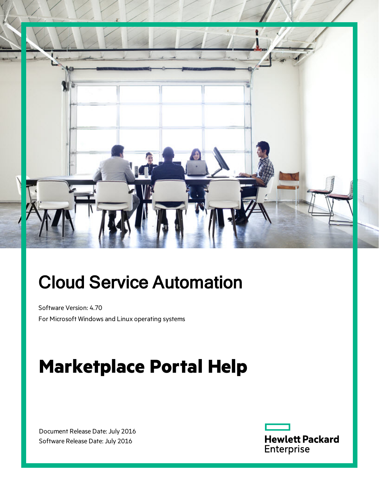

# Cloud Service Automation

Software Version: 4.70 For Microsoft Windows and Linux operating systems

# **Marketplace Portal Help**

Document Release Date: July 2016 Software Release Date: July 2016

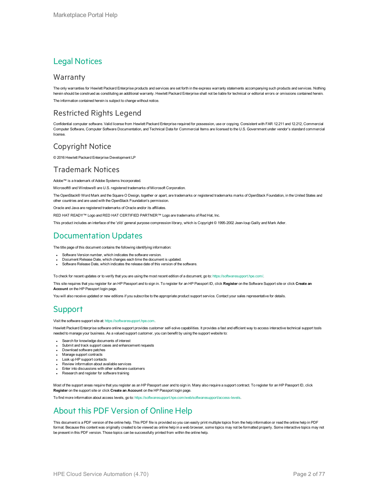#### Legal Notices

#### **Warranty**

The only warranties for Hewlett Packard Enterprise products and services are set forth in the express warranty statements accompanying such products and services. Nothing herein should be construed as constituting an additional warranty. Hewlett Packard Enterprise shall not be liable for technical or editorial errors or omissions contained herein. The information contained herein is subject to change without notice.

#### Restricted Rights Legend

Confidential computer software. Valid license from Hewlett Packard Enterprise required for possession, use or copying. Consistent with FAR 12.211 and 12.212, Commercial Computer Software, Computer Software Documentation, and Technical Data for Commercial Items are licensed to the U.S. Government under vendor's standard commercial license.

#### Copyright Notice

© 2016 Hewlett Packard Enterprise Development LP

#### Trademark Notices

Adobe™ is a trademark of Adobe Systems Incorporated.

Microsoft® and Windows® are U.S. registered trademarks of Microsoft Corporation.

The OpenStack® Word Mark and the Square O Design, together or apart, are trademarks or registered trademarks marks of OpenStack Foundation, in the United States and other countries and are used with the OpenStack Foundation's permission.

Oracle and Java are registered trademarks of Oracle and/or its affiliates.

RED HAT READY™ Logo and RED HAT CERTIFIED PARTNER™ Logo are trademarks of Red Hat, Inc.

This product includes an interface of the 'zlib' general purpose compression library, which is Copyright © 1995-2002 Jean-loup Gailly and Mark Adler.

#### Documentation Updates

The title page of this document contains the following identifying information:

- Software Version number, which indicates the software version.
- Document Release Date, which changes each time the document is updated.
- Software Release Date, which indicates the release date of this version of the software.

To check for recent updates or to verify that you are using the most recent edition of a document, go to: <https://softwaresupport.hpe.com/>.

This site requires that you register for an HP Passport and to sign in. To register for an HP Passport ID, click **Register** on the Software Support site or click **Create an Account** on the HP Passport login page.

You will also receive updated or new editions if you subscribe to the appropriate product support service. Contact your sales representative for details.

#### **Support**

#### Visit the software support site at: [https://softwaresupport.hpe.com.](https://softwaresupport.hpe.com/)

Hewlett Packard Enterprise software online support provides customer self-solve capabilities. It provides a fast and efficient way to access interactive technical support tools needed to manage your business. As a valued support customer, you can benefit by using the support website to:

- Search for knowledge documents of interest
- Submit and track support cases and enhancement requests
- Download software patches
- Manage support contracts
- Look up HP support contacts
- Review information about available services
- **Enter into discussions with other software customers**
- Research and register for software training

Most of the support areas require that you register as an HP Passport user and to sign in. Many also require a support contract. To register for an HP Passport ID, click **Register** on the support site or click **Create an Account** on the HP Passport login page.

To find more information about access levels, go to: <https://softwaresupport.hpe.com/web/softwaresupport/access-levels>.

#### About this PDF Version of Online Help

This document is a PDF version of the online help. This PDF file is provided so you can easily print multiple topics from the help information or read the online help in PDF format. Because this content was originally created to be viewed as online help in a web browser, some topics may not be formatted properly. Some interactive topics may not be present in this PDF version. Those topics can be successfully printed from within the online help.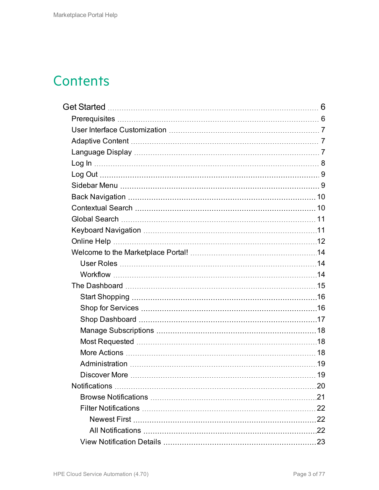## **Contents**

| 20 |
|----|
|    |
|    |
|    |
|    |
|    |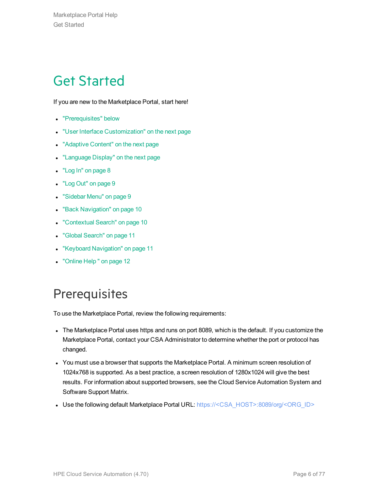## <span id="page-5-0"></span>Get Started

If you are new to the Marketplace Portal, start here!

- ["Prerequisites"](#page-5-1) below
- **.** "User Interface [Customization"](#page-6-0) on the next page
- ["Adaptive](#page-6-1) Content" on the next page
- ["Language](#page-6-2) Display" on the next page
- "Log In" on [page](#page-7-0) 8
- "Log Out" on [page](#page-8-0) 9
- ["Sidebar](#page-8-1) Menu" on page 9
- **.** "Back [Navigation"](#page-9-0) on page 10
- ["Contextual](#page-9-1) Search" on page 10
- <sup>l</sup> "Global [Search"](#page-10-0) on page 11
- "Keyboard [Navigation"](#page-10-1) on page 11
- ["Online](#page-11-0) Help" on page 12

## <span id="page-5-1"></span>**Prerequisites**

To use the Marketplace Portal, review the following requirements:

- The Marketplace Portal uses https and runs on port 8089, which is the default. If you customize the Marketplace Portal, contact your CSA Administrator to determine whether the port or protocol has changed.
- You must use a browser that supports the Marketplace Portal. A minimum screen resolution of 1024x768 is supported. As a best practice, a screen resolution of 1280x1024 will give the best results. For information about supported browsers, see the Cloud Service Automation System and Software Support Matrix.
- Use the following default Marketplace Portal URL: https://<CSA\_HOST>:8089/org/<ORG\_ID>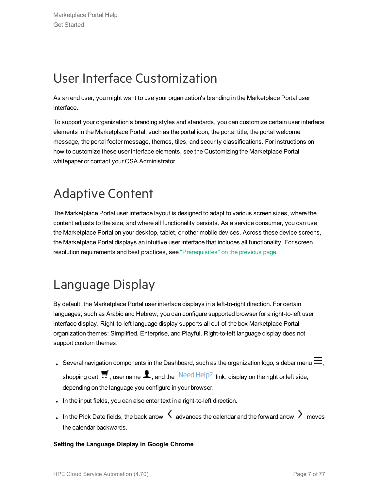## <span id="page-6-0"></span>User Interface Customization

As an end user, you might want to use your organization's branding in the Marketplace Portal user interface.

To support your organization's branding styles and standards, you can customize certain user interface elements in the Marketplace Portal, such as the portal icon, the portal title, the portal welcome message, the portal footer message, themes, tiles, and security classifications. For instructions on how to customize these user interface elements, see the Customizing the Marketplace Portal whitepaper or contact your CSA Administrator.

## <span id="page-6-1"></span>Adaptive Content

The Marketplace Portal user interface layout is designed to adapt to various screen sizes, where the content adjusts to the size, and where all functionality persists. As a service consumer, you can use the Marketplace Portal on your desktop, tablet, or other mobile devices. Across these device screens, the Marketplace Portal displays an intuitive user interface that includes all functionality. For screen resolution requirements and best practices, see ["Prerequisites"](#page-5-1) on the previous page.

## <span id="page-6-2"></span>Language Display

By default, the Marketplace Portal user interface displays in a left-to-right direction. For certain languages, such as Arabic and Hebrew, you can configure supported browser for a right-to-left user interface display. Right-to-left language display supports all out-of-the box Marketplace Portal organization themes: Simplified, Enterprise, and Playful. Right-to-left language display does not support custom themes.

- Several navigation components in the Dashboard, such as the organization logo, sidebar menu  $\equiv$ , shopping cart  $\blacksquare$ , user name  $\clubsuit$ , and the  $\blacksquare$  Need Help? link, display on the right or left side, depending on the language you configure in your browser.
- . In the input fields, you can also enter text in a right-to-left direction.
- In the Pick Date fields, the back arrow  $\leq$  advances the calendar and the forward arrow  $\geq$  moves the calendar backwards.

#### **Setting the Language Display in Google Chrome**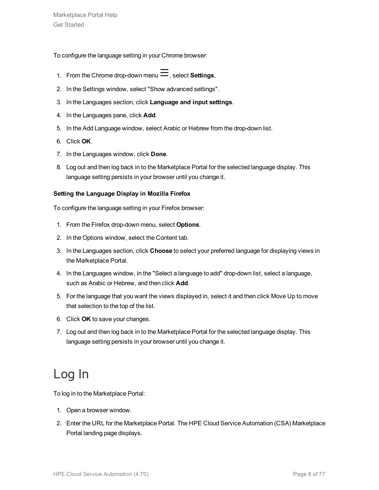To configure the language setting in your Chrome browser:

- 1. From the Chrome drop-down menu  $\equiv$ , select **Settings**.
- 2. In the Settings window, select "Show advanced settings".
- 3. In the Languages section, click **Language and input settings**.
- 4. In the Languages pane, click **Add**.
- 5. In the Add Language window, select Arabic or Hebrew from the drop-down list.
- 6. Click **OK**.
- 7. In the Languages window, click **Done**.
- 8. Log out and then log back in to the Marketplace Portal for the selected language display. This language setting persists in your browser until you change it.

#### **Setting the Language Display in Mozilla Firefox**

To configure the language setting in your Firefox browser:

- 1. From the Firefox drop-down menu, select **Options**.
- 2. In the Options window, select the Content tab.
- 3. In the Languages section, click **Choose** to select your preferred language for displaying views in the Marketplace Portal.
- 4. In the Languages window, in the "Select a language to add" drop-down list, select a language, such as Arabic or Hebrew, and then click **Add**.
- 5. For the language that you want the views displayed in, select it and then click Move Up to move that selection to the top of the list.
- 6. Click **OK** to save your changes.
- 7. Log out and then log back in to the Marketplace Portal for the selected language display. This language setting persists in your browser until you change it.

## <span id="page-7-0"></span>Log In

To log in to the Marketplace Portal:

- 1. Open a browser window.
- 2. Enter the URL for the Marketplace Portal. The HPE Cloud Service Automation (CSA) Marketplace Portal landing page displays.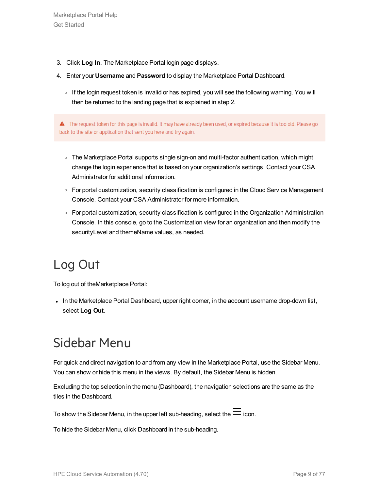- 3. Click **Log In**. The Marketplace Portal login page displays.
- 4. Enter your **Username** and **Password** to display the Marketplace Portal Dashboard.
	- o If the login request token is invalid or has expired, you will see the following warning. You will then be returned to the landing page that is explained in step 2.

A The request token for this page is invalid. It may have already been used, or expired because it is too old. Please go back to the site or application that sent you here and try again.

- The Marketplace Portal supports single sign-on and multi-factor authentication, which might change the login experience that is based on your organization's settings. Contact your CSA Administrator for additional information.
- For portal customization, security classification is configured in the Cloud Service Management Console. Contact your CSA Administrator for more information.
- For portal customization, security classification is configured in the Organization Administration Console. In this console, go to the Customization view for an organization and then modify the securityLevel and themeName values, as needed.

## <span id="page-8-0"></span>Log Out

To log out of theMarketplace Portal:

• In the Marketplace Portal Dashboard, upper right corner, in the account username drop-down list, select **Log Out**.

## <span id="page-8-1"></span>Sidebar Menu

For quick and direct navigation to and from any view in the Marketplace Portal, use the Sidebar Menu. You can show or hide this menu in the views. By default, the Sidebar Menu is hidden.

Excluding the top selection in the menu (Dashboard), the navigation selections are the same as the tiles in the Dashboard.

To show the Sidebar Menu, in the upper left sub-heading, select the  $\equiv$  icon.

To hide the Sidebar Menu, click Dashboard in the sub-heading.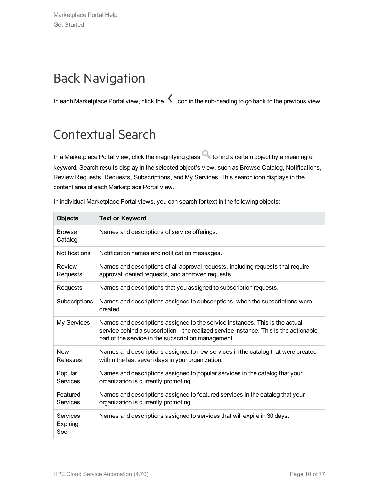## <span id="page-9-0"></span>Back Navigation

In each Marketplace Portal view, click the  $\zeta$  icon in the sub-heading to go back to the previous view.

## <span id="page-9-1"></span>Contextual Search

In a Marketplace Portal view, click the magnifying glass to find a certain object by a meaningful keyword. Search results display in the selected object's view, such as Browse Catalog, Notifications, Review Requests, Requests, Subscriptions, and My Services. This search icon displays in the content area of each Marketplace Portal view.

| <b>Objects</b>               | <b>Text or Keyword</b>                                                                                                                                                                                                     |
|------------------------------|----------------------------------------------------------------------------------------------------------------------------------------------------------------------------------------------------------------------------|
| <b>Browse</b><br>Catalog     | Names and descriptions of service offerings.                                                                                                                                                                               |
| <b>Notifications</b>         | Notification names and notification messages.                                                                                                                                                                              |
| Review<br>Requests           | Names and descriptions of all approval requests, including requests that require<br>approval, denied requests, and approved requests.                                                                                      |
| Requests                     | Names and descriptions that you assigned to subscription requests.                                                                                                                                                         |
| Subscriptions                | Names and descriptions assigned to subscriptions, when the subscriptions were<br>created.                                                                                                                                  |
| My Services                  | Names and descriptions assigned to the service instances. This is the actual<br>service behind a subscription—the realized service instance. This is the actionable<br>part of the service in the subscription management. |
| <b>New</b><br>Releases       | Names and descriptions assigned to new services in the catalog that were created<br>within the last seven days in your organization.                                                                                       |
| Popular<br>Services          | Names and descriptions assigned to popular services in the catalog that your<br>organization is currently promoting.                                                                                                       |
| Featured<br><b>Services</b>  | Names and descriptions assigned to featured services in the catalog that your<br>organization is currently promoting.                                                                                                      |
| Services<br>Expiring<br>Soon | Names and descriptions assigned to services that will expire in 30 days.                                                                                                                                                   |

In individual Marketplace Portal views, you can search for text in the following objects: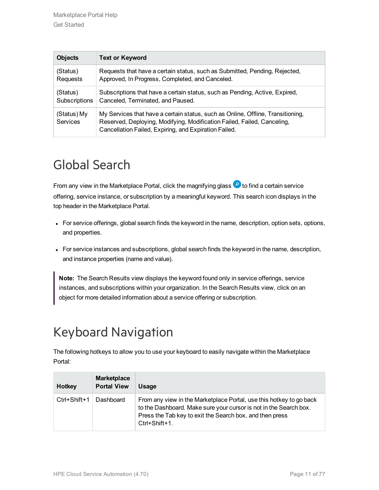| <b>Objects</b>          | <b>Text or Keyword</b>                                                                                                                                                                                              |
|-------------------------|---------------------------------------------------------------------------------------------------------------------------------------------------------------------------------------------------------------------|
| (Status)                | Requests that have a certain status, such as Submitted, Pending, Rejected,                                                                                                                                          |
| Requests                | Approved, In Progress, Completed, and Canceled.                                                                                                                                                                     |
| (Status)                | Subscriptions that have a certain status, such as Pending, Active, Expired,                                                                                                                                         |
| Subscriptions           | Canceled, Terminated, and Paused.                                                                                                                                                                                   |
| (Status) My<br>Services | My Services that have a certain status, such as Online, Offline, Transitioning,<br>Reserved, Deploying, Modifying, Modification Failed, Failed, Canceling,<br>Cancellation Failed, Expiring, and Expiration Failed. |

## <span id="page-10-0"></span>Global Search

From any view in the Marketplace Portal, click the magnifying glass  $\bullet$  to find a certain service offering, service instance, or subscription by a meaningful keyword. This search icon displays in the top header in the Marketplace Portal.

- For service offerings, global search finds the keyword in the name, description, option sets, options, and properties.
- For service instances and subscriptions, global search finds the keyword in the name, description, and instance properties (name and value).

**Note:** The Search Results view displays the keyword found only in service offerings, service instances, and subscriptions within your organization. In the Search Results view, click on an object for more detailed information about a service offering or subscription.

## <span id="page-10-1"></span>Keyboard Navigation

The following hotkeys to allow you to use your keyboard to easily navigate within the Marketplace Portal:

| <b>Hotkey</b> | <b>Marketplace</b><br><b>Portal View</b> | Usage                                                                                                                                                                                                                 |
|---------------|------------------------------------------|-----------------------------------------------------------------------------------------------------------------------------------------------------------------------------------------------------------------------|
| Ctrl+Shift+1  | Dashboard                                | From any view in the Marketplace Portal, use this hotkey to go back<br>to the Dashboard. Make sure your cursor is not in the Search box.<br>Press the Tab key to exit the Search box, and then press<br>Ctrl+Shift+1. |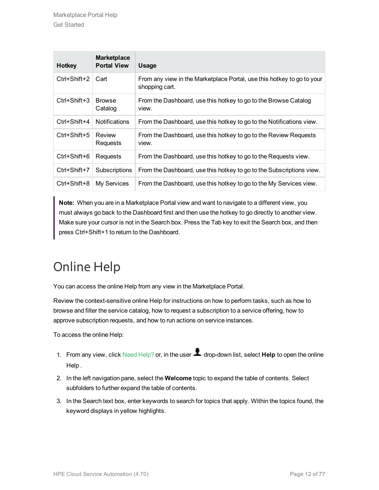| <b>Hotkey</b> | <b>Marketplace</b><br><b>Portal View</b> | <b>Usage</b>                                                                             |
|---------------|------------------------------------------|------------------------------------------------------------------------------------------|
| Ctrl+Shift+2  | Cart                                     | From any view in the Marketplace Portal, use this hotkey to go to your<br>shopping cart. |
| Ctrl+Shift+3  | <b>Browse</b><br>Catalog                 | From the Dashboard, use this hotkey to go to the Browse Catalog<br>view.                 |
| Ctrl+Shift+4  | <b>Notifications</b>                     | From the Dashboard, use this hotkey to go to the Notifications view.                     |
| Ctrl+Shift+5  | Review<br>Requests                       | From the Dashboard, use this hotkey to go to the Review Requests<br>view.                |
| Ctrl+Shift+6  | Requests                                 | From the Dashboard, use this hotkey to go to the Requests view.                          |
| Ctrl+Shift+7  | Subscriptions                            | From the Dashboard, use this hotkey to go to the Subscriptions view.                     |
| Ctrl+Shift+8  | My Services                              | From the Dashboard, use this hotkey to go to the My Services view.                       |

**Note:** When you are in a Marketplace Portal view and want to navigate to a different view, you must always go back to the Dashboard first and then use the hotkey to go directly to another view. Make sure your cursor is not in the Search box. Press the Tab key to exit the Search box, and then press Ctrl+Shift+1 to return to the Dashboard.

## <span id="page-11-0"></span>Online Help

You can access the online Help from any view in the Marketplace Portal.

Review the context-sensitive online Help for instructions on how to perform tasks, such as how to browse and filter the service catalog, how to request a subscription to a service offering, how to approve subscription requests, and how to run actions on service instances.

To access the online Help:

- 1. From any view, click Need Help? or, in the user **1** drop-down list, select **Help** to open the online Help .
- 2. In the left navigation pane, select the **Welcome** topic to expand the table of contents. Select subfolders to further expand the table of contents.
- 3. In the Search text box, enter keywords to search for topics that apply. Within the topics found, the keyword displays in yellow highlights.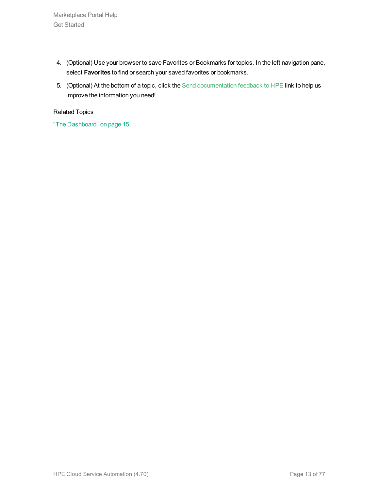Marketplace Portal Help Get Started

- 4. (Optional) Use your browser to save Favorites or Bookmarks for topics. In the left navigation pane, select **Favorites** to find or search your saved favorites or bookmarks.
- 5. (Optional) At the bottom of a topic, click the Send documentation feedback to HPE link to help us improve the information you need!

Related Topics

"The [Dashboard"](#page-14-0) on page 15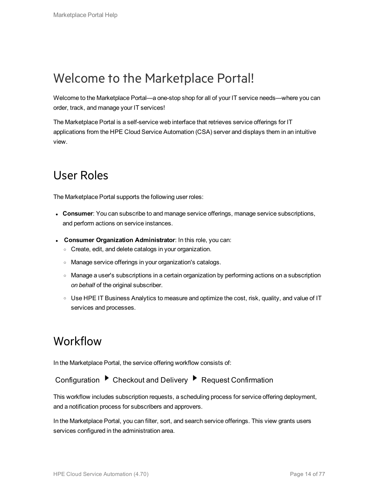## <span id="page-13-0"></span>Welcome to the Marketplace Portal!

Welcome to the Marketplace Portal—a one-stop shop for all of your IT service needs—where you can order, track, and manage your IT services!

The Marketplace Portal is a self-service web interface that retrieves service offerings for IT applications from the HPE Cloud Service Automation (CSA) server and displays them in an intuitive view.

### <span id="page-13-1"></span>User Roles

The Marketplace Portal supports the following user roles:

- **Consumer**: You can subscribe to and manage service offerings, manage service subscriptions, and perform actions on service instances.
- <sup>l</sup> **Consumer Organization Administrator**: In this role, you can:
	- <sup>o</sup> Create, edit, and delete catalogs in your organization.
	- <sup>o</sup> Manage service offerings in your organization's catalogs.
	- <sup>o</sup> Manage a user's subscriptions in a certain organization by performing actions on a subscription *on behalf* of the original subscriber.
	- $\circ$  Use HPE IT Business Analytics to measure and optimize the cost, risk, quality, and value of IT services and processes.

### <span id="page-13-2"></span>Workflow

In the Marketplace Portal, the service offering workflow consists of:

Configuration ▶ Checkout and Delivery ▶ Request Confirmation

This workflow includes subscription requests, a scheduling process for service offering deployment, and a notification process for subscribers and approvers.

In the Marketplace Portal, you can filter, sort, and search service offerings. This view grants users services configured in the administration area.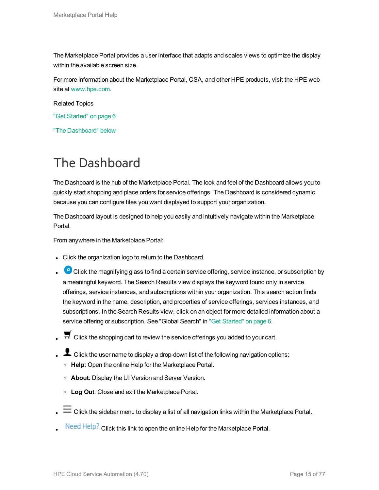The Marketplace Portal provides a user interface that adapts and scales views to optimize the display within the available screen size.

For more information about the Marketplace Portal, CSA, and other HPE products, visit the HPE web site at [www.hpe.com.](http://www.hpe.com/)

Related Topics

- "Get [Started"](#page-5-0) on page 6
- "The [Dashboard"](#page-14-0) below

## <span id="page-14-0"></span>The Dashboard

The Dashboard is the hub of the Marketplace Portal. The look and feel of the Dashboard allows you to quickly start shopping and place orders for service offerings. The Dashboard is considered dynamic because you can configure tiles you want displayed to support your organization.

The Dashboard layout is designed to help you easily and intuitively navigate within the Marketplace Portal.

From anywhere in the Marketplace Portal:

- Click the organization logo to return to the Dashboard.
- **P** Click the magnifying glass to find a certain service offering, service instance, or subscription by a meaningful keyword. The Search Results view displays the keyword found only in service offerings, service instances, and subscriptions within your organization. This search action finds the keyword in the name, description, and properties of service offerings, services instances, and subscriptions. In the Search Results view, click on an object for more detailed information about a service offering or subscription. See "Global Search" in "Get [Started"](#page-5-0) on page 6.
- Click the shopping cart to review the service offerings you added to your cart.
- L Click the user name to display a drop-down list of the following navigation options:
	- <sup>o</sup> **Help**: Open the online Help for the Marketplace Portal.
	- <sup>o</sup> **About**: Display the UI Version and Server Version.
	- <sup>o</sup> **Log Out**: Close and exit the Marketplace Portal.
- $\equiv$  Click the sidebar menu to display a list of all navigation links within the Marketplace Portal.
- Need Help? Click this link to open the online Help for the Marketplace Portal.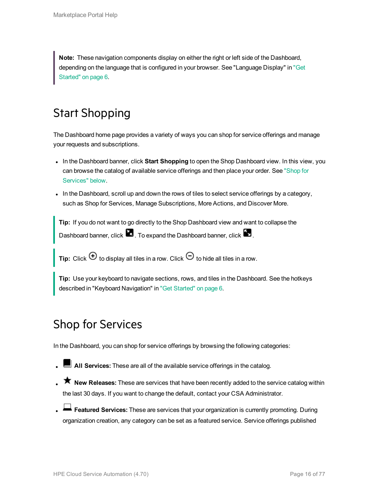**Note:** These navigation components display on either the right or left side of the Dashboard, depending on the language that is configured in your browser. See "Language Display" in ["Get](#page-5-0) [Started"](#page-5-0) on page 6.

## <span id="page-15-0"></span>Start Shopping

The Dashboard home page provides a variety of ways you can shop for service offerings and manage your requests and subscriptions.

- In the Dashboard banner, click **Start Shopping** to open the Shop Dashboard view. In this view, you can browse the catalog of available service offerings and then place your order. See ["Shop](#page-15-1) for [Services"](#page-15-1) below.
- In the Dashboard, scroll up and down the rows of tiles to select service offerings by a category, such as Shop for Services, Manage Subscriptions, More Actions, and Discover More.

**Tip:** If you do not want to go directly to the Shop Dashboard view and want to collapse the Dashboard banner, click  $\blacksquare$ . To expand the Dashboard banner, click  $\blacksquare$ .

**Tip:** Click  $\Theta$  to display all tiles in a row. Click  $\Theta$  to hide all tiles in a row.

<span id="page-15-1"></span>**Tip:** Use your keyboard to navigate sections, rows, and tiles in the Dashboard. See the hotkeys described in "Keyboard Navigation" in "Get [Started"](#page-5-0) on page 6.

## Shop for Services

In the Dashboard, you can shop for service offerings by browsing the following categories:

- **L** All Services: These are all of the available service offerings in the catalog.
- **K** New Releases: These are services that have been recently added to the service catalog within the last 30 days. If you want to change the default, contact your CSA Administrator.
- **Exatured Services:** These are services that your organization is currently promoting. During organization creation, any category can be set as a featured service. Service offerings published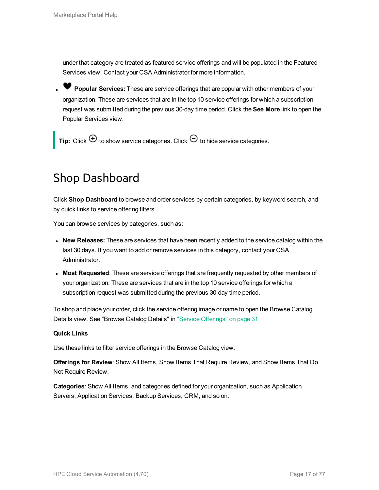under that category are treated as featured service offerings and will be populated in the Featured Services view. Contact your CSA Administrator for more information.

<sup>l</sup> **Popular Services:** These are service offerings that are popular with other members of your organization. These are services that are in the top 10 service offerings for which a subscription request was submitted during the previous 30-day time period. Click the **See More** link to open the Popular Services view.

<span id="page-16-0"></span>**Tip:** Click  $\bigoplus$  to show service categories. Click  $\bigodot$  to hide service categories.

### Shop Dashboard

Click **Shop Dashboard** to browse and order services by certain categories, by keyword search, and by quick links to service offering filters.

You can browse services by categories, such as:

- **New Releases:** These are services that have been recently added to the service catalog within the last 30 days. If you want to add or remove services in this category, contact your CSA Administrator.
- <sup>l</sup> **Most Requested**: These are service offerings that are frequently requested by other members of your organization. These are services that are in the top 10 service offerings for which a subscription request was submitted during the previous 30-day time period.

To shop and place your order, click the service offering image or name to open the Browse Catalog Details view. See "Browse Catalog Details" in "Service [Offerings"](#page-30-1) on page 31

#### **Quick Links**

Use these links to filter service offerings in the Browse Catalog view:

**Offerings for Review**: Show All Items, Show Items That Require Review, and Show Items That Do Not Require Review.

**Categories**: Show All Items, and categories defined for your organization, such as Application Servers, Application Services, Backup Services, CRM, and so on.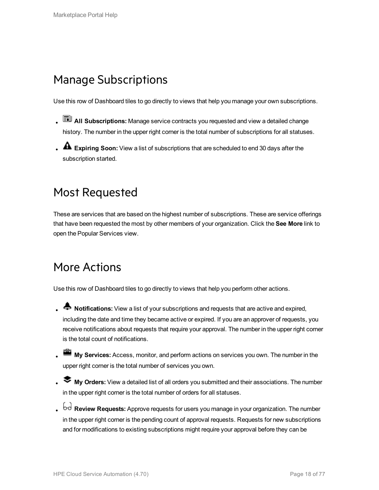## <span id="page-17-0"></span>Manage Subscriptions

Use this row of Dashboard tiles to go directly to views that help you manage your own subscriptions.

- **AII Subscriptions:** Manage service contracts you requested and view a detailed change history. The number in the upper right corner is the total number of subscriptions for all statuses.
- <span id="page-17-1"></span>**A** Expiring Soon: View a list of subscriptions that are scheduled to end 30 days after the subscription started.

## Most Requested

These are services that are based on the highest number of subscriptions. These are service offerings that have been requested the most by other members of your organization. Click the **See More** link to open the Popular Services view.

## <span id="page-17-2"></span>More Actions

Use this row of Dashboard tiles to go directly to views that help you perform other actions.

- **A** Notifications: View a list of your subscriptions and requests that are active and expired, including the date and time they became active or expired. If you are an approver of requests, you receive notifications about requests that require your approval. The number in the upper right corner is the total count of notifications.
- **My Services:** Access, monitor, and perform actions on services you own. The number in the upper right corner is the total number of services you own.
- <sup>l</sup> **My Orders:** View a detailed list of all orders you submitted and their associations. The number in the upper right corner is the total number of orders for all statuses.
- <sup>l</sup> **Review Requests:** Approve requests for users you manage in your organization. The number in the upper right corner is the pending count of approval requests. Requests for new subscriptions and for modifications to existing subscriptions might require your approval before they can be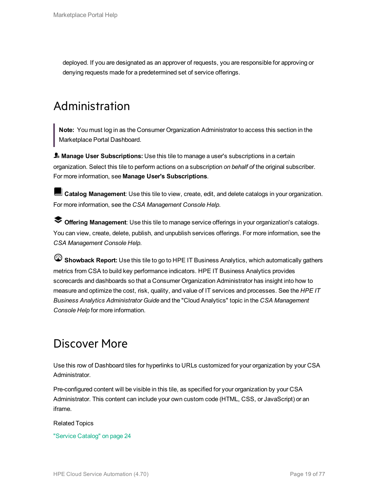<span id="page-18-0"></span>deployed. If you are designated as an approver of requests, you are responsible for approving or denying requests made for a predetermined set of service offerings.

## Administration

**Note:** You must log in as the Consumer Organization Administrator to access this section in the Marketplace Portal Dashboard.

**Manage User Subscriptions:** Use this tile to manage a user's subscriptions in a certain organization. Select this tile to perform actions on a subscription *on behalf of* the original subscriber. For more information, see **Manage User's Subscriptions**.

**Catalog Management**: Use this tile to view, create, edit, and delete catalogs in your organization. For more information, see the *CSA Management Console Help*.

**Offering Management**: Use this tile to manage service offerings in your organization's catalogs. You can view, create, delete, publish, and unpublish services offerings. For more information, see the *CSA Management Console Help*.

**Showback Report:** Use this tile to go to HPE IT Business Analytics, which automatically gathers metrics from CSA to build key performance indicators. HPE IT Business Analytics provides scorecards and dashboards so that a Consumer Organization Administrator has insight into how to measure and optimize the cost, risk, quality, and value of IT services and processes. See the *HPE IT Business Analytics Administrator Guide* and the "Cloud Analytics" topic in the *CSA Management Console Help* for more information.

## <span id="page-18-1"></span>Discover More

Use this row of Dashboard tiles for hyperlinks to URLs customized for your organization by your CSA Administrator.

Pre-configured content will be visible in this tile, as specified for your organization by your CSA Administrator. This content can include your own custom code (HTML, CSS, or JavaScript) or an iframe.

#### Related Topics

"Service [Catalog"](#page-23-0) on page 24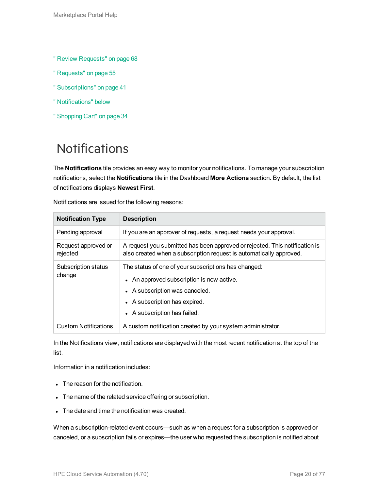- " Review [Requests"](#page-67-0) on page 68
- " [Requests"](#page-54-0) on page 55
- " [Subscriptions"](#page-40-0) on page 41
- " [Notifications"](#page-19-0) below
- " [Shopping](#page-33-0) Cart" on page 34

## <span id="page-19-0"></span>**Notifications**

The **Notifications** tile provides an easy way to monitor your notifications. To manage your subscription notifications, select the **Notifications** tile in the Dashboard **More Actions** section. By default, the list of notifications displays **Newest First**.

| <b>Notification Type</b>        | <b>Description</b>                                                                                                                                                                                   |
|---------------------------------|------------------------------------------------------------------------------------------------------------------------------------------------------------------------------------------------------|
| Pending approval                | If you are an approver of requests, a request needs your approval.                                                                                                                                   |
| Request approved or<br>rejected | A request you submitted has been approved or rejected. This notification is<br>also created when a subscription request is automatically approved.                                                   |
| Subscription status<br>change   | The status of one of your subscriptions has changed:<br>• An approved subscription is now active.<br>• A subscription was canceled.<br>• A subscription has expired.<br>• A subscription has failed. |
| <b>Custom Notifications</b>     | A custom notification created by your system administrator.                                                                                                                                          |

Notifications are issued for the following reasons:

In the Notifications view, notifications are displayed with the most recent notification at the top of the list.

Information in a notification includes:

- The reason for the notification.
- The name of the related service offering or subscription.
- The date and time the notification was created.

When a subscription-related event occurs—such as when a request for a subscription is approved or canceled, or a subscription fails or expires—the user who requested the subscription is notified about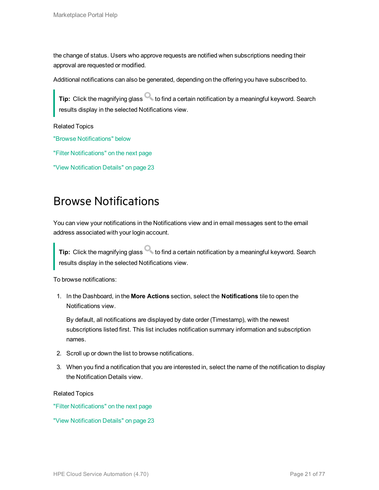the change of status. Users who approve requests are notified when subscriptions needing their approval are requested or modified.

Additional notifications can also be generated, depending on the offering you have subscribed to.

**Tip:** Click the magnifying glass to find a certain notification by a meaningful keyword. Search results display in the selected Notifications view.

Related Topics

"Browse [Notifications"](#page-20-0) below

"Filter [Notifications"](#page-21-0) on the next page

<span id="page-20-0"></span>"View [Notification](#page-22-0) Details" on page 23

### Browse Notifications

You can view your notifications in the Notifications view and in email messages sent to the email address associated with your login account.

**Tip:** Click the magnifying glass to find a certain notification by a meaningful keyword. Search results display in the selected Notifications view.

To browse notifications:

1. In the Dashboard, in the **More Actions** section, select the **Notifications** tile to open the Notifications view.

By default, all notifications are displayed by date order (Timestamp), with the newest subscriptions listed first. This list includes notification summary information and subscription names.

- 2. Scroll up or down the list to browse notifications.
- 3. When you find a notification that you are interested in, select the name of the notification to display the Notification Details view.

Related Topics

"Filter [Notifications"](#page-21-0) on the next page

"View [Notification](#page-22-0) Details" on page 23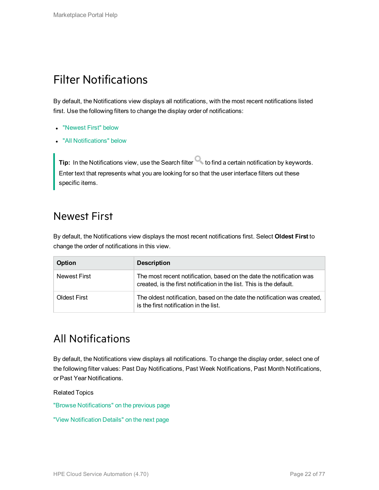## <span id="page-21-0"></span>Filter Notifications

By default, the Notifications view displays all notifications, with the most recent notifications listed first. Use the following filters to change the display order of notifications:

- ["Newest](#page-21-1) First" below
- "All [Notifications"](#page-21-2) below

**Tip:** In the Notifications view, use the Search filter **the find a certain notification by keywords.** Enter text that represents what you are looking for so that the user interface filters out these specific items.

### <span id="page-21-1"></span>Newest First

By default, the Notifications view displays the most recent notifications first. Select **Oldest First** to change the order of notifications in this view.

| <b>Option</b> | <b>Description</b>                                                                                                                           |
|---------------|----------------------------------------------------------------------------------------------------------------------------------------------|
| Newest First  | The most recent notification, based on the date the notification was<br>created, is the first notification in the list. This is the default. |
| Oldest First  | The oldest notification, based on the date the notification was created,<br>is the first notification in the list.                           |

### <span id="page-21-2"></span>All Notifications

By default, the Notifications view displays all notifications. To change the display order, select one of the following filter values: Past Day Notifications, Past Week Notifications, Past Month Notifications, or Past Year Notifications.

Related Topics

"Browse [Notifications"](#page-20-0) on the previous page

"View [Notification](#page-22-0) Details" on the next page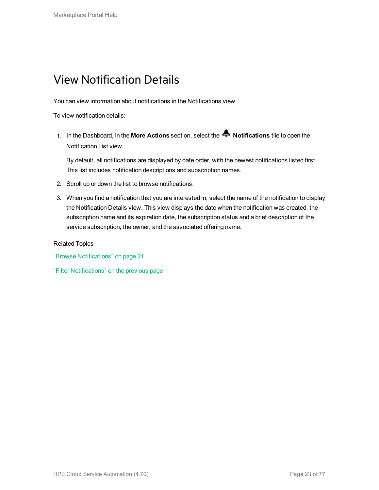## <span id="page-22-0"></span>View Notification Details

You can view information about notifications in the Notifications view.

To view notification details:

1. In the Dashboard, in the **More Actions** section, select the **Notifications** tile to open the Notification List view.

By default, all notifications are displayed by date order, with the newest notifications listed first. This list includes notification descriptions and subscription names.

- 2. Scroll up or down the list to browse notifications.
- 3. When you find a notification that you are interested in, select the name of the notification to display the Notification Details view. This view displays the date when the notification was created, the subscription name and its expiration date, the subscription status and a brief description of the service subscription, the owner, and the associated offering name.

Related Topics

"Browse [Notifications"](#page-20-0) on page 21

"Filter [Notifications"](#page-21-0) on the previous page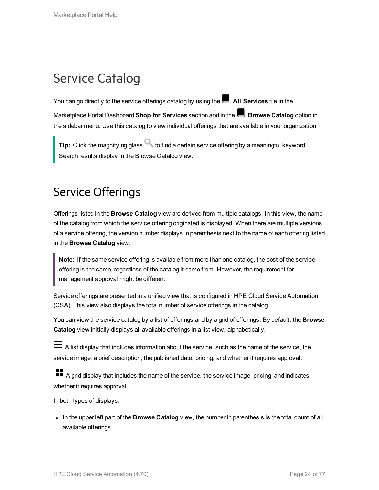## <span id="page-23-0"></span>Service Catalog

You can go directly to the service offerings catalog by using the **All Services** tile in the Marketplace Portal Dashboard **Shop for Services** section and in the **Browse Catalog** option in the sidebar menu. Use this catalog to view individual offerings that are available in your organization.

**Tip:** Click the magnifying glass **that is contained a certain service offering by a meaningful keyword.** Search results display in the Browse Catalog view.

## <span id="page-23-1"></span>Service Offerings

Offerings listed in the **Browse Catalog** view are derived from multiple catalogs. In this view, the name of the catalog from which the service offering originated is displayed. When there are multiple versions of a service offering, the version number displays in parenthesis next to the name of each offering listed in the **Browse Catalog** view.

**Note:** If the same service offering is available from more than one catalog, the cost of the service offering is the same, regardless of the catalog it came from. However, the requirement for management approval might be different.

Service offerings are presented in a unified view that is configured in HPE Cloud Service Automation (CSA). This view also displays the total number of service offerings in the catalog.

You can view the service catalog by a list of offerings and by a grid of offerings. By default, the **Browse Catalog** view initially displays all available offerings in a list view, alphabetically.

 $\equiv$  A list display that includes information about the service, such as the name of the service, the service image, a brief description, the published date, pricing, and whether it requires approval.

A grid display that includes the name of the service, the service image, pricing, and indicates whether it requires approval.

In both types of displays:

In the upper left part of the **Browse Catalog** view, the number in parenthesis is the total count of all available offerings.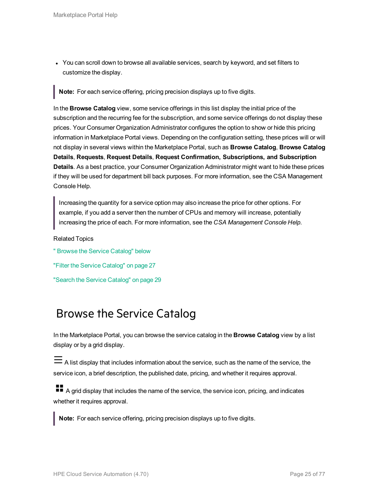• You can scroll down to browse all available services, search by keyword, and set filters to customize the display.

**Note:** For each service offering, pricing precision displays up to five digits.

In the **Browse Catalog** view, some service offerings in this list display the initial price of the subscription and the recurring fee for the subscription, and some service offerings do not display these prices. Your Consumer Organization Administrator configures the option to show or hide this pricing information in Marketplace Portal views. Depending on the configuration setting, these prices will or will not display in several views within the Marketplace Portal, such as **Browse Catalog**, **Browse Catalog Details**, **Requests**, **Request Details**, **Request Confirmation, Subscriptions, and Subscription Details**. As a best practice, your Consumer Organization Administrator might want to hide these prices if they will be used for department bill back purposes. For more information, see the CSA Management Console Help.

Increasing the quantity for a service option may also increase the price for other options. For example, if you add a server then the number of CPUs and memory will increase, potentially increasing the price of each. For more information, see the *CSA Management Console Help*.

Related Topics

" Browse the Service [Catalog"](#page-24-0) below "Filter the Service [Catalog"](#page-26-0) on page 27 "Search the Service [Catalog"](#page-28-0) on page 29

### <span id="page-24-0"></span>Browse the Service Catalog

In the Marketplace Portal, you can browse the service catalog in the **Browse Catalog** view by a list display or by a grid display.

A list display that includes information about the service, such as the name of the service, the service icon, a brief description, the published date, pricing, and whether it requires approval.

**A** grid display that includes the name of the service, the service icon, pricing, and indicates whether it requires approval.

**Note:** For each service offering, pricing precision displays up to five digits.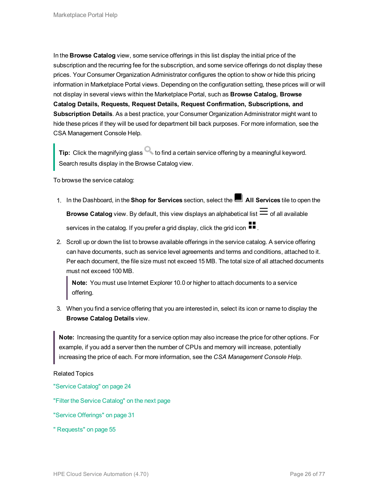In the **Browse Catalog** view, some service offerings in this list display the initial price of the subscription and the recurring fee for the subscription, and some service offerings do not display these prices. Your Consumer Organization Administrator configures the option to show or hide this pricing information in Marketplace Portal views. Depending on the configuration setting, these prices will or will not display in several views within the Marketplace Portal, such as **Browse Catalog, Browse Catalog Details, Requests, Request Details, Request Confirmation, Subscriptions, and Subscription Details**. As a best practice, your Consumer Organization Administrator might want to hide these prices if they will be used for department bill back purposes. For more information, see the CSA Management Console Help.

**Tip:** Click the magnifying glass **that is contained a certain service offering by a meaningful keyword.** Search results display in the Browse Catalog view.

To browse the service catalog:

- 1. In the Dashboard, in the **Shop for Services** section, select the **All Services** tile to open the **Browse Catalog** view. By default, this view displays an alphabetical list  $\equiv$  of all available services in the catalog. If you prefer a grid display, click the grid icon  $\blacksquare$ .
- 2. Scroll up or down the list to browse available offerings in the service catalog. A service offering can have documents, such as service level agreements and terms and conditions, attached to it. Per each document, the file size must not exceed 15 MB. The total size of all attached documents must not exceed 100 MB.

**Note:** You must use Internet Explorer 10.0 or higher to attach documents to a service offering.

3. When you find a service offering that you are interested in, select its icon or name to display the **Browse Catalog Details** view.

**Note:** Increasing the quantity for a service option may also increase the price for other options. For example, if you add a server then the number of CPUs and memory will increase, potentially increasing the price of each. For more information, see the *CSA Management Console Help*.

Related Topics

"Service [Catalog"](#page-23-0) on page 24

"Filter the Service [Catalog"](#page-26-0) on the next page

"Service [Offerings"](#page-30-1) on page 31

" [Requests"](#page-54-0) on page 55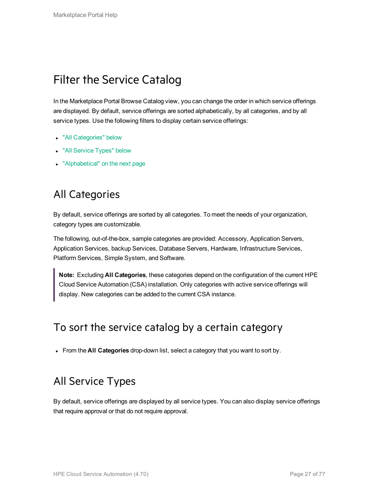## <span id="page-26-0"></span>Filter the Service Catalog

In the Marketplace Portal Browse Catalog view, you can change the order in which service offerings are displayed. By default, service offerings are sorted alphabetically, by all categories, and by all service types. Use the following filters to display certain service offerings:

- "All [Categories"](#page-26-1) below
- "All [Service](#page-26-2) Types" below
- <span id="page-26-1"></span>• ["Alphabetical"](#page-27-0) on the next page

### All Categories

By default, service offerings are sorted by all categories. To meet the needs of your organization, category types are customizable.

The following, out-of-the-box, sample categories are provided: Accessory, Application Servers, Application Services, backup Services, Database Servers, Hardware, Infrastructure Services, Platform Services, Simple System, and Software.

**Note:** Excluding **All Categories**, these categories depend on the configuration of the current HPE Cloud Service Automation (CSA) installation. Only categories with active service offerings will display. New categories can be added to the current CSA instance.

### To sort the service catalog by a certain category

<span id="page-26-2"></span>**From the All Categories** drop-down list, select a category that you want to sort by.

### All Service Types

By default, service offerings are displayed by all service types. You can also display service offerings that require approval or that do not require approval.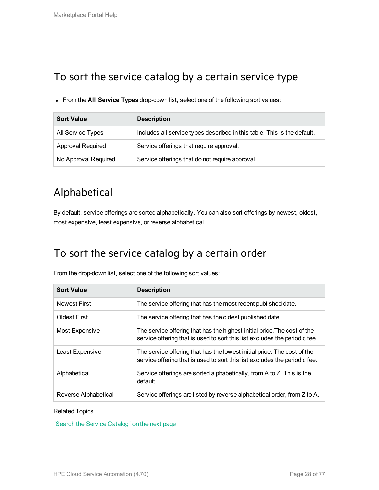### To sort the service catalog by a certain service type

<sup>l</sup> From the **All Service Types** drop-down list, select one of the following sort values:

| <b>Sort Value</b>        | <b>Description</b>                                                       |
|--------------------------|--------------------------------------------------------------------------|
| All Service Types        | Includes all service types described in this table. This is the default. |
| <b>Approval Required</b> | Service offerings that require approval.                                 |
| No Approval Required     | Service offerings that do not require approval.                          |

## <span id="page-27-0"></span>Alphabetical

By default, service offerings are sorted alphabetically. You can also sort offerings by newest, oldest, most expensive, least expensive, or reverse alphabetical.

### To sort the service catalog by a certain order

From the drop-down list, select one of the following sort values:

| <b>Sort Value</b>    | <b>Description</b>                                                                                                                                     |
|----------------------|--------------------------------------------------------------------------------------------------------------------------------------------------------|
| <b>Newest First</b>  | The service offering that has the most recent published date.                                                                                          |
| <b>Oldest First</b>  | The service offering that has the oldest published date.                                                                                               |
| Most Expensive       | The service offering that has the highest initial price. The cost of the<br>service offering that is used to sort this list excludes the periodic fee. |
| Least Expensive      | The service offering that has the lowest initial price. The cost of the<br>service offering that is used to sort this list excludes the periodic fee.  |
| Alphabetical         | Service offerings are sorted alphabetically, from A to Z. This is the<br>default.                                                                      |
| Reverse Alphabetical | Service offerings are listed by reverse alphabetical order, from Z to A.                                                                               |

#### Related Topics

"Search the Service [Catalog"](#page-28-0) on the next page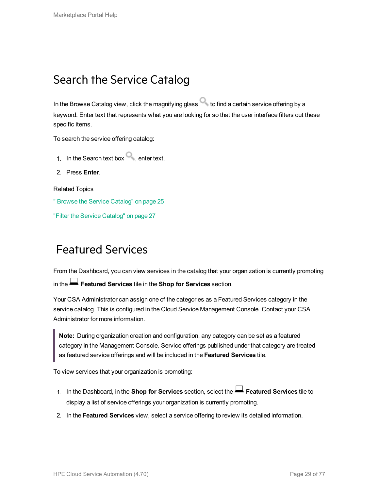## <span id="page-28-0"></span>Search the Service Catalog

In the Browse Catalog view, click the magnifying glass  $\bullet$  to find a certain service offering by a keyword. Enter text that represents what you are looking for so that the user interface filters out these specific items.

To search the service offering catalog:

- 1. In the Search text box **exter text.**
- 2. Press **Enter**.

Related Topics

" Browse the Service [Catalog"](#page-24-0) on page 25

<span id="page-28-1"></span>"Filter the Service [Catalog"](#page-26-0) on page 27

### Featured Services

From the Dashboard, you can view services in the catalog that your organization is currently promoting in the **Featured Services** tile in the **Shop for Services** section.

Your CSA Administrator can assign one of the categories as a Featured Services category in the service catalog. This is configured in the Cloud Service Management Console. Contact your CSA Administrator for more information.

**Note:** During organization creation and configuration, any category can be set as a featured category in the Management Console. Service offerings published under that category are treated as featured service offerings and will be included in the **Featured Services** tile.

To view services that your organization is promoting:

- 1. In the Dashboard, in the **Shop for Services** section, select the **Featured Services** tile to display a list of service offerings your organization is currently promoting.
- 2. In the **Featured Services** view, select a service offering to review its detailed information.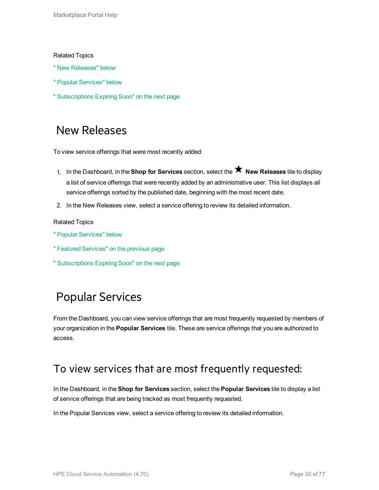#### Related Topics

- " New [Releases"](#page-29-0) below
- " Popular [Services"](#page-29-1) below
- <span id="page-29-0"></span>" [Subscriptions](#page-30-0) Expiring Soon" on the next page

### New Releases

To view service offerings that were most recently added:

- 1. In the Dashboard, in the **Shop for Services** section, select the **New Releases** tile to display a list of service offerings that were recently added by an administrative user. This list displays all service offerings sorted by the published date, beginning with the most recent date.
- 2. In the New Releases view, select a service offering to review its detailed information.

#### Related Topics

- " Popular [Services"](#page-29-1) below
- " Featured [Services"](#page-28-1) on the previous page
- <span id="page-29-1"></span>" [Subscriptions](#page-30-0) Expiring Soon" on the next page

## Popular Services

From the Dashboard, you can view service offerings that are most frequently requested by members of your organization in the **Popular Services** tile. These are service offerings that you are authorized to access.

### To view services that are most frequently requested:

In the Dashboard, in the **Shop for Services** section, select the **Popular Services** tile to display a list of service offerings that are being tracked as most frequently requested.

In the Popular Services view, select a service offering to review its detailed information.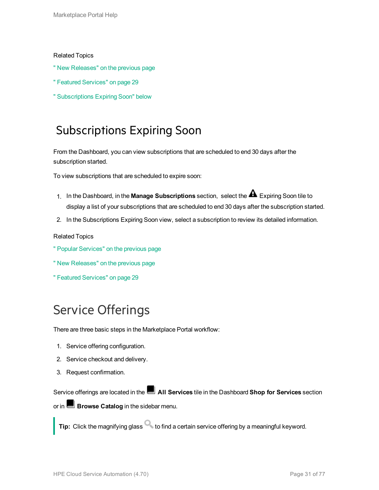#### Related Topics

- " New [Releases"](#page-29-0) on the previous page
- " Featured [Services"](#page-28-1) on page 29
- <span id="page-30-0"></span>" [Subscriptions](#page-30-0) Expiring Soon" below

### Subscriptions Expiring Soon

From the Dashboard, you can view subscriptions that are scheduled to end 30 days after the subscription started.

To view subscriptions that are scheduled to expire soon:

- 1. In the Dashboard, in the **Manage Subscriptions** section, select the Expiring Soon tile to display a list of your subscriptions that are scheduled to end 30 days after the subscription started.
- 2. In the Subscriptions Expiring Soon view, select a subscription to review its detailed information.

#### Related Topics

- " Popular [Services"](#page-29-1) on the previous page
- " New [Releases"](#page-29-0) on the previous page
- " Featured [Services"](#page-28-1) on page 29

## <span id="page-30-1"></span>Service Offerings

There are three basic steps in the Marketplace Portal workflow:

- 1. Service offering configuration.
- 2. Service checkout and delivery.
- 3. Request confirmation.

Service offerings are located in the **All Services** tile in the Dashboard **Shop for Services** section or in **Browse Catalog** in the sidebar menu.

**Tip:** Click the magnifying glass **that is contained a certain service offering by a meaningful keyword.**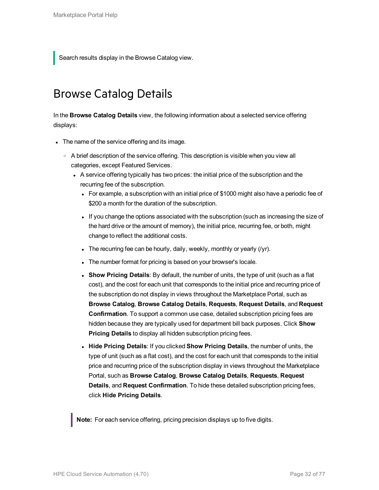<span id="page-31-0"></span>Search results display in the Browse Catalog view.

### Browse Catalog Details

In the **Browse Catalog Details** view, the following information about a selected service offering displays:

- The name of the service offering and its image.
	- $\circ$  A brief description of the service offering. This description is visible when you view all categories, except Featured Services.
		- A service offering typically has two prices: the initial price of the subscription and the recurring fee of the subscription.
			- For example, a subscription with an initial price of \$1000 might also have a periodic fee of \$200 a month for the duration of the subscription.
			- If you change the options associated with the subscription (such as increasing the size of the hard drive or the amount of memory), the initial price, recurring fee, or both, might change to reflect the additional costs.
			- The recurring fee can be hourly, daily, weekly, monthly or yearly  $(1/2)$ .
			- The number format for pricing is based on your browser's locale.
			- **.** Show Pricing Details: By default, the number of units, the type of unit (such as a flat cost), and the cost for each unit that corresponds to the initial price and recurring price of the subscription do not display in views throughout the Marketplace Portal, such as **Browse Catalog**, **Browse Catalog Details**, **Requests**, **Request Details**, and **Request Confirmation**. To support a common use case, detailed subscription pricing fees are hidden because they are typically used for department bill back purposes. Click **Show Pricing Details** to display all hidden subscription pricing fees.
			- <sup>l</sup> **Hide Pricing Details**: If you clicked **Show Pricing Details**, the number of units, the type of unit (such as a flat cost), and the cost for each unit that corresponds to the initial price and recurring price of the subscription display in views throughout the Marketplace Portal, such as **Browse Catalog**, **Browse Catalog Details**, **Requests**, **Request Details**, and **Request Confirmation**. To hide these detailed subscription pricing fees, click **Hide Pricing Details**.

**Note:** For each service offering, pricing precision displays up to five digits.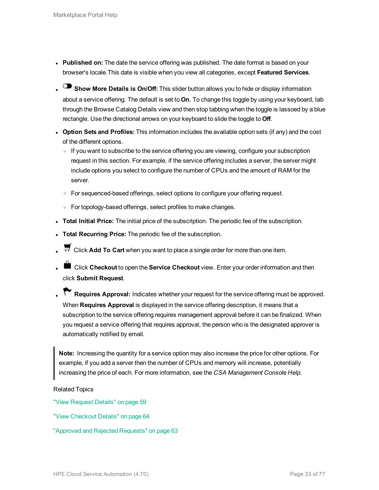- **Published on:** The date the service offering was published. The date format is based on your browser's locale.This date is visible when you view all categories, except **Featured Services**.
- **Show More Details is On/Off:** This slider button allows you to hide or display information about a service offering. The default is set to **On**. To change this toggle by using your keyboard, tab through the Browse Catalog Details view and then stop tabbing when the toggle is lassoed by a blue rectangle. Use the directional arrows on your keyboard to slide the toggle to **Off**.
- <sup>l</sup> **Option Sets and Profiles:** This information includes the available option sets (if any) and the cost of the different options.
	- o If you want to subscribe to the service offering you are viewing, configure your subscription request in this section. For example, if the service offering includes a server, the server might include options you select to configure the number of CPUs and the amount of RAM for the server.
	- For sequenced-based offerings, select options to configure your offering request.
	- $\circ$  For topology-based offerings, select profiles to make changes.
- **· Total Initial Price:** The initial price of the subscription. The periodic fee of the subscription.
- **Total Recurring Price:** The periodic fee of the subscription.
- **E** Click Add To Cart when you want to place a single order for more than one item.
- **liges Click Checkout** to open the **Service Checkout** view. Enter your order information and then click **Submit Request**.
- **Requires Approval:** Indicates whether your request for the service offering must be approved. When **Requires Approval** is displayed in the service offering description, it means that a subscription to the service offering requires management approval before it can be finalized. When you request a service offering that requires approval, the person who is the designated approver is automatically notified by email.

**Note:** Increasing the quantity for a service option may also increase the price for other options. For example, if you add a server then the number of CPUs and memory will increase, potentially increasing the price of each. For more information, see the *CSA Management Console Help*.

Related Topics

"View [Request](#page-58-1) Details" on page 59

"View [Checkout](#page-63-1) Details" on page 64

"Approved and Rejected [Requests"](#page-62-0) on page 63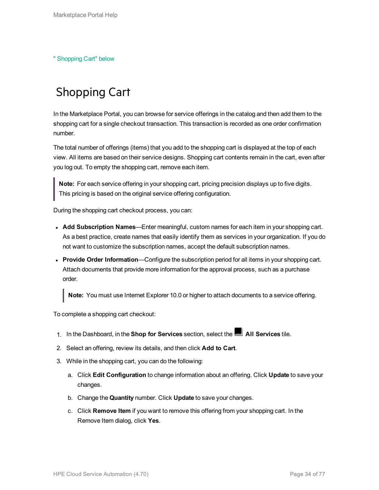<span id="page-33-0"></span>" [Shopping](#page-33-0) Cart" below

## Shopping Cart

In the Marketplace Portal, you can browse for service offerings in the catalog and then add them to the shopping cart for a single checkout transaction. This transaction is recorded as one order confirmation number.

The total number of offerings (items) that you add to the shopping cart is displayed at the top of each view. All items are based on their service designs. Shopping cart contents remain in the cart, even after you log out. To empty the shopping cart, remove each item.

**Note:** For each service offering in your shopping cart, pricing precision displays up to five digits. This pricing is based on the original service offering configuration.

During the shopping cart checkout process, you can:

- **Add Subscription Names—Enter meaningful, custom names for each item in your shopping cart.** As a best practice, create names that easily identify them as services in your organization. If you do not want to customize the subscription names, accept the default subscription names.
- **Provide Order Information—Configure the subscription period for all items in your shopping cart.** Attach documents that provide more information for the approval process, such as a purchase order.

**Note:** You must use Internet Explorer 10.0 or higher to attach documents to a service offering.

To complete a shopping cart checkout:

- 1. In the Dashboard, in the **Shop for Services** section, select the **All Services** tile.
- 2. Select an offering, review its details, and then click **Add to Cart**.
- 3. While in the shopping cart, you can do the following:
	- a. Click **Edit Configuration** to change information about an offering. Click **Update** to save your changes.
	- b. Change the **Quantity** number. Click **Update** to save your changes.
	- c. Click **Remove Item** if you want to remove this offering from your shopping cart. In the Remove Item dialog, click **Yes**.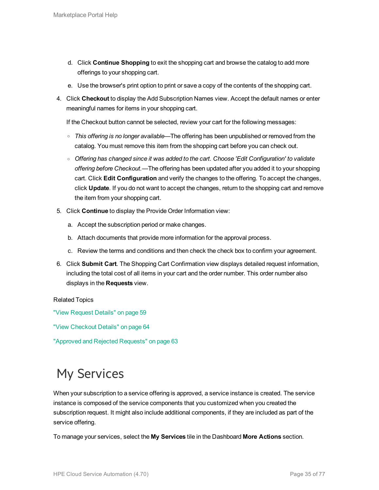- d. Click **Continue Shopping** to exit the shopping cart and browse the catalog to add more offerings to your shopping cart.
- e. Use the browser's print option to print or save a copy of the contents of the shopping cart.
- 4. Click **Checkout** to display the Add Subscription Names view. Accept the default names or enter meaningful names for items in your shopping cart.

If the Checkout button cannot be selected, review your cart for the following messages:

- <sup>o</sup> *This offering is no longer available*—The offering has been unpublished or removed from the catalog. You must remove this item from the shopping cart before you can check out.
- <sup>o</sup> *Offering has changed since it was added to the cart. Choose 'Edit Configuration' to validate offering before Checkout.*—The offering has been updated after you added it to your shopping cart. Click **Edit Configuration** and verify the changes to the offering. To accept the changes, click **Update**. If you do not want to accept the changes, return to the shopping cart and remove the item from your shopping cart.
- 5. Click **Continue** to display the Provide Order Information view:
	- a. Accept the subscription period or make changes.
	- b. Attach documents that provide more information for the approval process.
	- c. Review the terms and conditions and then check the check box to confirm your agreement.
- 6. Click **Submit Cart**. The Shopping Cart Confirmation view displays detailed request information, including the total cost of all items in your cart and the order number. This order number also displays in the **Requests** view.

#### Related Topics

"View [Request](#page-58-1) Details" on page 59

"View [Checkout](#page-63-1) Details" on page 64

"Approved and Rejected [Requests"](#page-62-0) on page 63

## <span id="page-34-0"></span>My Services

When your subscription to a service offering is approved, a service instance is created. The service instance is composed of the service components that you customized when you created the subscription request. It might also include additional components, if they are included as part of the service offering.

To manage your services, select the **My Services** tile in the Dashboard **More Actions** section.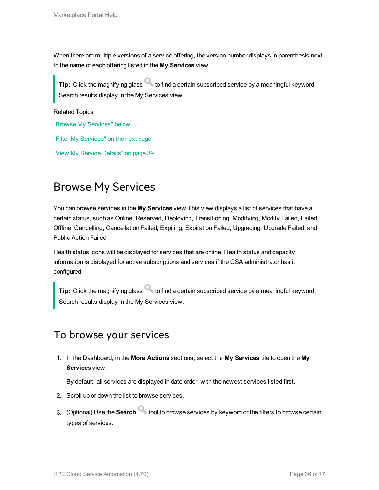When there are multiple versions of a service offering, the version number displays in parenthesis next to the name of each offering listed in the **My Services** view.

**Tip:** Click the magnifying glass to find a certain subscribed service by a meaningful keyword. Search results display in the My Services view.

Related Topics "Browse My [Services"](#page-35-0) below "Filter My [Services"](#page-36-0) on the next page "View My Service [Details"](#page-38-0) on page 39

## <span id="page-35-0"></span>Browse My Services

You can browse services in the **My Services** view.This view displays a list of services that have a certain status, such as Online, Reserved, Deploying, Transitioning, Modifying, Modify Failed, Failed, Offline, Cancelling, Cancellation Failed, Expiring, Expiration Failed, Upgrading, Upgrade Failed, and Public Action Failed.

Health status icons will be displayed for services that are online. Health status and capacity information is displayed for active subscriptions and services if the CSA administrator has it configured.

**Tip:** Click the magnifying glass to find a certain subscribed service by a meaningful keyword. Search results display in the My Services view.

#### To browse your services

1. In the Dashboard, in the **More Actions** sections, select the **My Services** tile to open the **My Services** view.

By default, all services are displayed in date order, with the newest services listed first.

- 2. Scroll up or down the list to browse services.
- 3. (Optional) Use the **Search** tool to browse services by keyword or the filters to browse certain types of services.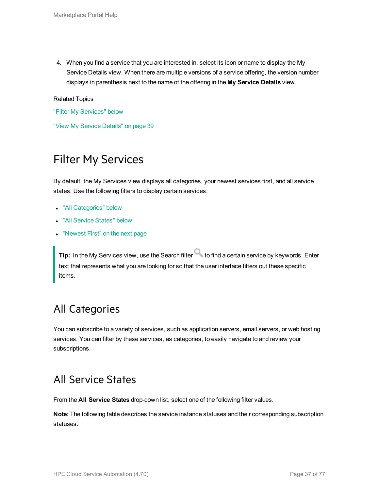4. When you find a service that you are interested in, select its icon or name to display the My Service Details view. When there are multiple versions of a service offering, the version number displays in parenthesis next to the name of the offering in the **My Service Details** view.

Related Topics

"Filter My [Services"](#page-36-0) below

<span id="page-36-0"></span>"View My Service [Details"](#page-38-0) on page 39

# Filter My Services

By default, the My Services view displays all categories, your newest services first, and all service states. Use the following filters to display certain services:

- "All [Categories"](#page-36-1) below
- "All [Service](#page-36-2) States" below
- ["Newest](#page-37-0) First" on the next page

**Tip:** In the My Services view, use the Search filter **the find a certain service by keywords.** Enter text that represents what you are looking for so that the user interface filters out these specific items.

#### <span id="page-36-1"></span>All Categories

You can subscribe to a variety of services, such as application servers, email servers, or web hosting services. You can filter by these services, as categories, to easily navigate to and review your subscriptions.

#### <span id="page-36-2"></span>All Service States

From the **All Service States** drop-down list, select one of the following filter values.

**Note:** The following table describes the service instance statuses and their corresponding subscription statuses.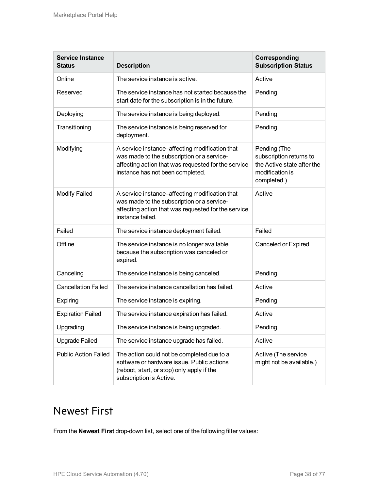| <b>Service Instance</b><br><b>Status</b> | <b>Description</b>                                                                                                                                                                      | Corresponding<br><b>Subscription Status</b>                                                             |
|------------------------------------------|-----------------------------------------------------------------------------------------------------------------------------------------------------------------------------------------|---------------------------------------------------------------------------------------------------------|
| Online                                   | The service instance is active.                                                                                                                                                         | Active                                                                                                  |
| Reserved                                 | The service instance has not started because the<br>start date for the subscription is in the future.                                                                                   | Pending                                                                                                 |
| Deploying                                | The service instance is being deployed.                                                                                                                                                 | Pending                                                                                                 |
| Transitioning                            | The service instance is being reserved for<br>deployment.                                                                                                                               | Pending                                                                                                 |
| Modifying                                | A service instance-affecting modification that<br>was made to the subscription or a service-<br>affecting action that was requested for the service<br>instance has not been completed. | Pending (The<br>subscription returns to<br>the Active state after the<br>modification is<br>completed.) |
| <b>Modify Failed</b>                     | A service instance-affecting modification that<br>was made to the subscription or a service-<br>affecting action that was requested for the service<br>instance failed.                 | Active                                                                                                  |
| Failed                                   | The service instance deployment failed.                                                                                                                                                 | Failed                                                                                                  |
| Offline                                  | The service instance is no longer available<br>because the subscription was canceled or<br>expired.                                                                                     | Canceled or Expired                                                                                     |
| Canceling                                | The service instance is being canceled.                                                                                                                                                 | Pending                                                                                                 |
| <b>Cancellation Failed</b>               | The service instance cancellation has failed.                                                                                                                                           | Active                                                                                                  |
| Expiring                                 | The service instance is expiring.                                                                                                                                                       | Pending                                                                                                 |
| <b>Expiration Failed</b>                 | The service instance expiration has failed.                                                                                                                                             | Active                                                                                                  |
| Upgrading                                | The service instance is being upgraded.                                                                                                                                                 | Pending                                                                                                 |
| <b>Upgrade Failed</b>                    | The service instance upgrade has failed.                                                                                                                                                | Active                                                                                                  |
| <b>Public Action Failed</b>              | The action could not be completed due to a<br>software or hardware issue. Public actions<br>(reboot, start, or stop) only apply if the<br>subscription is Active.                       | Active (The service<br>might not be available.)                                                         |

### <span id="page-37-0"></span>Newest First

From the **Newest First** drop-down list, select one of the following filter values: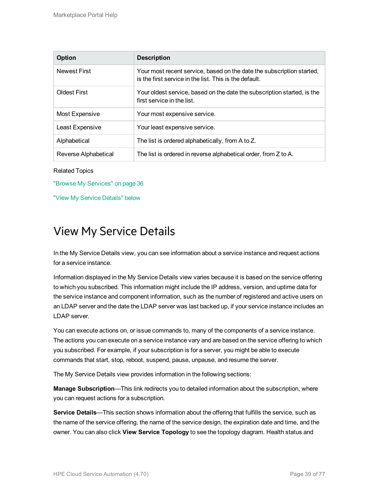| <b>Option</b>        | <b>Description</b>                                                                                                              |
|----------------------|---------------------------------------------------------------------------------------------------------------------------------|
| <b>Newest First</b>  | Your most recent service, based on the date the subscription started,<br>is the first service in the list. This is the default. |
| <b>Oldest First</b>  | Your oldest service, based on the date the subscription started, is the<br>first service in the list.                           |
| Most Expensive       | Your most expensive service.                                                                                                    |
| Least Expensive      | Your least expensive service.                                                                                                   |
| Alphabetical         | The list is ordered alphabetically, from A to Z.                                                                                |
| Reverse Alphabetical | The list is ordered in reverse alphabetical order, from Z to A.                                                                 |

Related Topics

"Browse My [Services"](#page-35-0) on page 36

<span id="page-38-0"></span>"View My Service [Details"](#page-38-0) below

#### View My Service Details

In the My Service Details view, you can see information about a service instance and request actions for a service instance.

Information displayed in the My Service Details view varies because it is based on the service offering to which you subscribed. This information might include the IP address, version, and uptime data for the service instance and component information, such as the number of registered and active users on an LDAP server and the date the LDAP server was last backed up, if your service instance includes an LDAP server.

You can execute actions on, or issue commands to, many of the components of a service instance. The actions you can execute on a service instance vary and are based on the service offering to which you subscribed. For example, if your subscription is for a server, you might be able to execute commands that start, stop, reboot, suspend, pause, unpause, and resume the server.

The My Service Details view provides information in the following sections:

**Manage Subscription**—This link redirects you to detailed information about the subscription, where you can request actions for a subscription.

**Service Details**—This section shows information about the offering that fulfills the service, such as the name of the service offering, the name of the service design, the expiration date and time, and the owner. You can also click **View Service Topology** to see the topology diagram. Health status and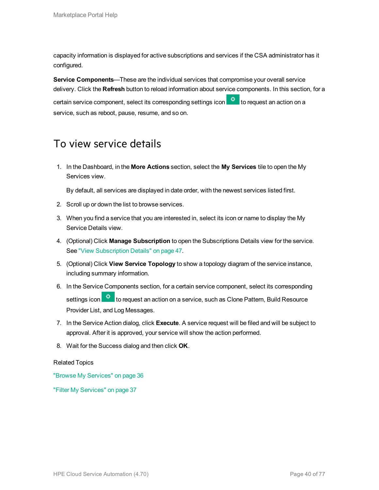capacity information is displayed for active subscriptions and services if the CSA administrator has it configured.

**Service Components**—These are the individual services that compromise your overall service delivery. Click the **Refresh** button to reload information about service components. In this section, for a certain service component, select its corresponding settings icon **the request an action on a** service, such as reboot, pause, resume, and so on.

#### To view service details

1. In the Dashboard, in the **More Actions** section, select the **My Services** tile to open the My Services view.

By default, all services are displayed in date order, with the newest services listed first.

- 2. Scroll up or down the list to browse services.
- 3. When you find a service that you are interested in, select its icon or name to display the My Service Details view.
- 4. (Optional) Click **Manage Subscription** to open the Subscriptions Details view for the service. See "View [Subscription](#page-46-0) Details" on page 47.
- 5. (Optional) Click **View Service Topology** to show a topology diagram of the service instance, including summary information.
- 6. In the Service Components section, for a certain service component, select its corresponding settings icon **to request an action on a service, such as Clone Pattern, Build Resource** Provider List, and Log Messages.
- 7. In the Service Action dialog, click **Execute**. A service request will be filed and will be subject to approval. After it is approved, your service will show the action performed.
- 8. Wait for the Success dialog and then click **OK**.

Related Topics

"Browse My [Services"](#page-35-0) on page 36

"Filter My [Services"](#page-36-0) on page 37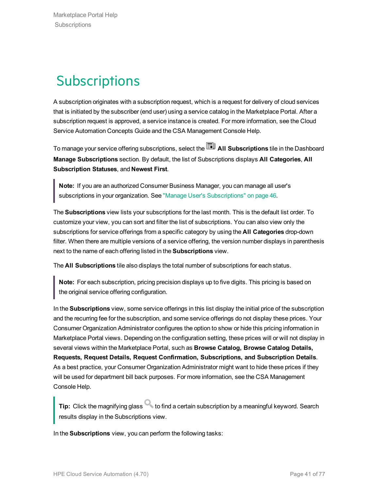# **Subscriptions**

A subscription originates with a subscription request, which is a request for delivery of cloud services that is initiated by the subscriber (end user) using a service catalog in the Marketplace Portal. After a subscription request is approved, a service instance is created. For more information, see the Cloud Service Automation Concepts Guide and the CSA Management Console Help.

To manage your service offering subscriptions, select the **All Subscriptions** tile in the Dashboard **Manage Subscriptions** section. By default, the list of Subscriptions displays **All Categories**, **All Subscription Statuses**, and **Newest First**.

**Note:** If you are an authorized Consumer Business Manager, you can manage all user's subscriptions in your organization. See "Manage User's [Subscriptions"](#page-45-0) on page 46.

The **Subscriptions** view lists your subscriptions for the last month. This is the default list order. To customize your view, you can sort and filter the list of subscriptions. You can also view only the subscriptions for service offerings from a specific category by using the **All Categories** drop-down filter. When there are multiple versions of a service offering, the version number displays in parenthesis next to the name of each offering listed in the **Subscriptions** view.

The **All Subscriptions** tile also displays the total number of subscriptions for each status.

**Note:** For each subscription, pricing precision displays up to five digits. This pricing is based on the original service offering configuration.

In the **Subscriptions** view, some service offerings in this list display the initial price of the subscription and the recurring fee for the subscription, and some service offerings do not display these prices. Your Consumer Organization Administrator configures the option to show or hide this pricing information in Marketplace Portal views. Depending on the configuration setting, these prices will or will not display in several views within the Marketplace Portal, such as **Browse Catalog, Browse Catalog Details, Requests, Request Details, Request Confirmation, Subscriptions, and Subscription Details**. As a best practice, your Consumer Organization Administrator might want to hide these prices if they will be used for department bill back purposes. For more information, see the CSA Management Console Help.

**Tip:** Click the magnifying glass **that is contained a certain subscription by a meaningful keyword. Search** results display in the Subscriptions view.

In the **Subscriptions** view, you can perform the following tasks: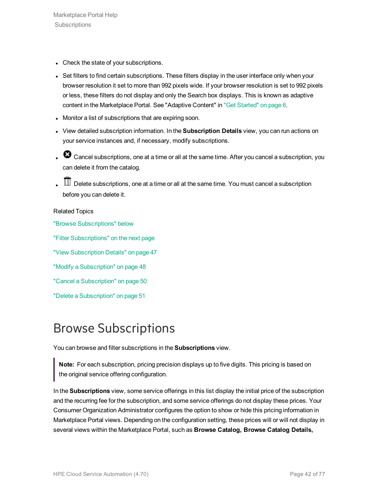- Check the state of your subscriptions.
- Set filters to find certain subscriptions. These filters display in the user interface only when your browser resolution it set to more than 992 pixels wide. If your browser resolution is set to 992 pixels or less, these filters do not display and only the Search box displays. This is known as adaptive content in the Marketplace Portal. See "Adaptive Content" in "Get [Started"](#page-5-0) on page 6.
- Monitor a list of subscriptions that are expiring soon.
- <sup>l</sup> View detailed subscription information. In the **Subscription Details** view, you can run actions on your service instances and, if necessary, modify subscriptions.
- . <sup>3</sup> Cancel subscriptions, one at a time or all at the same time. After you cancel a subscription, you can delete it from the catalog.
- $\mathbb I\hspace{-0.1cm}I$  Delete subscriptions, one at a time or all at the same time. You must cancel a subscription before you can delete it.

#### Related Topics

"Browse [Subscriptions"](#page-41-0) below

"Filter [Subscriptions"](#page-42-0) on the next page

"View [Subscription](#page-46-0) Details" on page 47

"Modify a [Subscription"](#page-47-0) on page 48

"Cancel a [Subscription"](#page-49-0) on page 50

"Delete a [Subscription"](#page-50-0) on page 51

# <span id="page-41-0"></span>Browse Subscriptions

You can browse and filter subscriptions in the **Subscriptions** view.

**Note:** For each subscription, pricing precision displays up to five digits. This pricing is based on the original service offering configuration.

In the **Subscriptions** view, some service offerings in this list display the initial price of the subscription and the recurring fee for the subscription, and some service offerings do not display these prices. Your Consumer Organization Administrator configures the option to show or hide this pricing information in Marketplace Portal views. Depending on the configuration setting, these prices will or will not display in several views within the Marketplace Portal, such as **Browse Catalog, Browse Catalog Details,**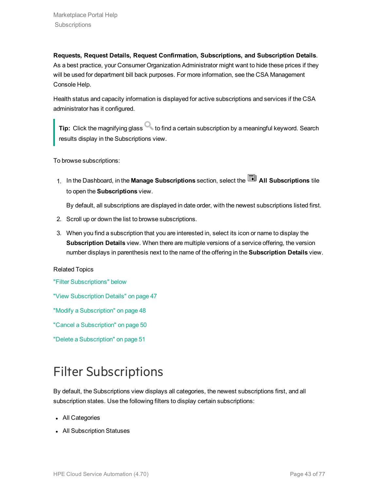**Requests, Request Details, Request Confirmation, Subscriptions, and Subscription Details**. As a best practice, your Consumer Organization Administrator might want to hide these prices if they will be used for department bill back purposes. For more information, see the CSA Management Console Help.

Health status and capacity information is displayed for active subscriptions and services if the CSA administrator has it configured.

**Tip:** Click the magnifying glass **that is contained a certain subscription by a meaningful keyword. Search** results display in the Subscriptions view.

To browse subscriptions:

1. In the Dashboard, in the Manage Subscriptions section, select the **All Subscriptions** tile to open the **Subscriptions** view.

By default, all subscriptions are displayed in date order, with the newest subscriptions listed first.

- 2. Scroll up or down the list to browse subscriptions.
- 3. When you find a subscription that you are interested in, select its icon or name to display the **Subscription Details** view. When there are multiple versions of a service offering, the version number displays in parenthesis next to the name of the offering in the **Subscription Details** view.

#### Related Topics

"Filter [Subscriptions"](#page-42-0) below

"View [Subscription](#page-46-0) Details" on page 47

"Modify a [Subscription"](#page-47-0) on page 48

"Cancel a [Subscription"](#page-49-0) on page 50

"Delete a [Subscription"](#page-50-0) on page 51

# <span id="page-42-0"></span>Filter Subscriptions

By default, the Subscriptions view displays all categories, the newest subscriptions first, and all subscription states. Use the following filters to display certain subscriptions:

- All Categories
- All Subscription Statuses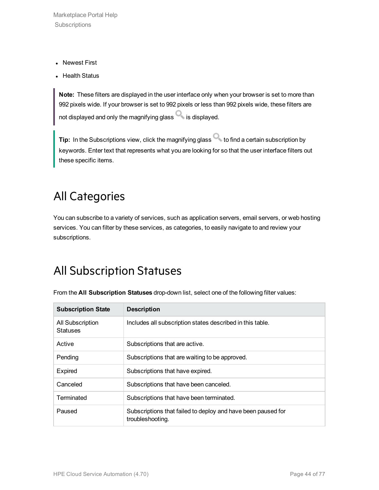Marketplace Portal Help **Subscriptions** 

- Newest First
- Health Status

**Note:** These filters are displayed in the user interface only when your browser is set to more than 992 pixels wide. If your browser is set to 992 pixels or less than 992 pixels wide, these filters are not displayed and only the magnifying glass  $\Box$  is displayed.

**Tip:** In the Subscriptions view, click the magnifying glass to find a certain subscription by keywords. Enter text that represents what you are looking for so that the user interface filters out these specific items.

### All Categories

You can subscribe to a variety of services, such as application servers, email servers, or web hosting services. You can filter by these services, as categories, to easily navigate to and review your subscriptions.

### All Subscription Statuses

| <b>Subscription State</b>           | <b>Description</b>                                                               |
|-------------------------------------|----------------------------------------------------------------------------------|
| All Subscription<br><b>Statuses</b> | Includes all subscription states described in this table.                        |
| Active                              | Subscriptions that are active.                                                   |
| Pending                             | Subscriptions that are waiting to be approved.                                   |
| <b>Expired</b>                      | Subscriptions that have expired.                                                 |
| Canceled                            | Subscriptions that have been canceled.                                           |
| Terminated                          | Subscriptions that have been terminated.                                         |
| Paused                              | Subscriptions that failed to deploy and have been paused for<br>troubleshooting. |

From the **All Subscription Statuses** drop-down list, select one of the following filter values: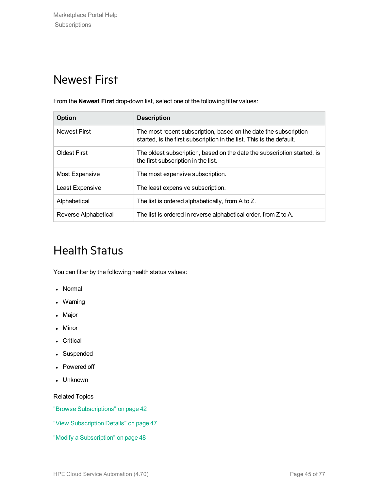### Newest First

From the **Newest First** drop-down list, select one of the following filter values:

| <b>Option</b>        | <b>Description</b>                                                                                                                       |
|----------------------|------------------------------------------------------------------------------------------------------------------------------------------|
| <b>Newest First</b>  | The most recent subscription, based on the date the subscription<br>started, is the first subscription in the list. This is the default. |
| <b>Oldest First</b>  | The oldest subscription, based on the date the subscription started, is<br>the first subscription in the list.                           |
| Most Expensive       | The most expensive subscription.                                                                                                         |
| Least Expensive      | The least expensive subscription.                                                                                                        |
| Alphabetical         | The list is ordered alphabetically, from A to Z.                                                                                         |
| Reverse Alphabetical | The list is ordered in reverse alphabetical order, from Z to A.                                                                          |

# Health Status

You can filter by the following health status values:

- Normal
- Warning
- Major
- Minor
- Critical
- Suspended
- Powered off
- Unknown

Related Topics

"Browse [Subscriptions"](#page-41-0) on page 42

"View [Subscription](#page-46-0) Details" on page 47

"Modify a [Subscription"](#page-47-0) on page 48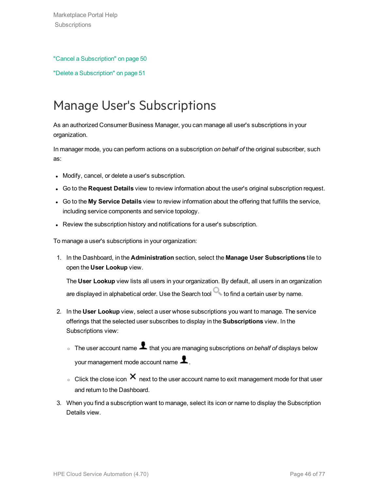#### "Cancel a [Subscription"](#page-49-0) on page 50

"Delete a [Subscription"](#page-50-0) on page 51

# <span id="page-45-0"></span>Manage User's Subscriptions

As an authorized Consumer Business Manager, you can manage all user's subscriptions in your organization.

In manager mode, you can perform actions on a subscription *on behalf of* the original subscriber, such as:

- Modify, cancel, or delete a user's subscription.
- <sup>l</sup> Go to the **Request Details** view to review information about the user's original subscription request.
- <sup>l</sup> Go to the **My Service Details** view to review information about the offering that fulfills the service, including service components and service topology.
- Review the subscription history and notifications for a user's subscription.

To manage a user's subscriptions in your organization:

1. In the Dashboard, in the **Administration** section, select the **Manage User Subscriptions** tile to open the **User Lookup** view.

The **User Lookup** view lists all users in your organization. By default, all users in an organization are displayed in alphabetical order. Use the Search tool  $\Box$  to find a certain user by name.

- 2. In the **User Lookup** view, select a user whose subscriptions you want to manage. The service offerings that the selected user subscribes to display in the **Subscriptions** view. In the Subscriptions view:
	- o The user account name **1** that you are managing subscriptions *on behalf of* displays below your management mode account name  $\blacktriangle$ .
	- $\circ$  Click the close icon  $\times$  next to the user account name to exit management mode for that user and return to the Dashboard.
- 3. When you find a subscription want to manage, select its icon or name to display the Subscription Details view.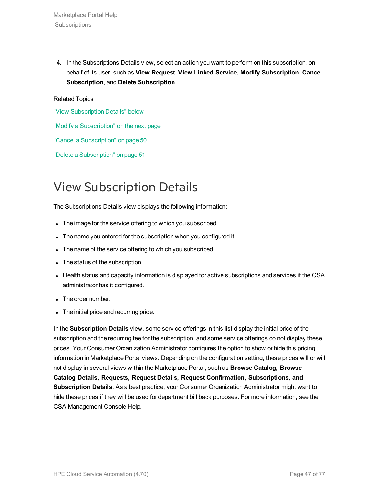4. In the Subscriptions Details view, select an action you want to perform on this subscription, on behalf of its user, such as **View Request**, **View Linked Service**, **Modify Subscription**, **Cancel Subscription**, and **Delete Subscription**.

#### Related Topics

"View [Subscription](#page-46-0) Details" below

"Modify a [Subscription"](#page-47-0) on the next page

"Cancel a [Subscription"](#page-49-0) on page 50

"Delete a [Subscription"](#page-50-0) on page 51

# <span id="page-46-0"></span>View Subscription Details

The Subscriptions Details view displays the following information:

- The image for the service offering to which you subscribed.
- The name you entered for the subscription when you configured it.
- The name of the service offering to which you subscribed.
- The status of the subscription.
- Health status and capacity information is displayed for active subscriptions and services if the CSA administrator has it configured.
- The order number.
- The initial price and recurring price.

In the **Subscription Details** view, some service offerings in this list display the initial price of the subscription and the recurring fee for the subscription, and some service offerings do not display these prices. Your Consumer Organization Administrator configures the option to show or hide this pricing information in Marketplace Portal views. Depending on the configuration setting, these prices will or will not display in several views within the Marketplace Portal, such as **Browse Catalog, Browse Catalog Details, Requests, Request Details, Request Confirmation, Subscriptions, and Subscription Details**. As a best practice, your Consumer Organization Administrator might want to hide these prices if they will be used for department bill back purposes. For more information, see the CSA Management Console Help.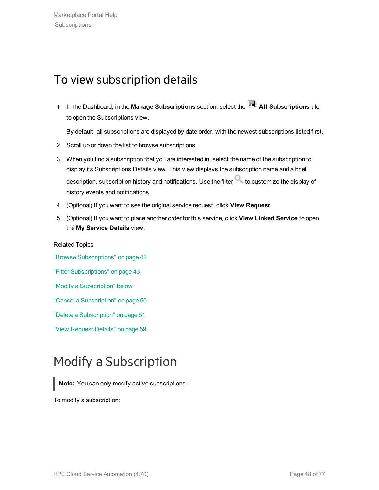### To view subscription details

1. In the Dashboard, in the Manage Subscriptions section, select the **All Subscriptions** tile to open the Subscriptions view.

By default, all subscriptions are displayed by date order, with the newest subscriptions listed first.

- 2. Scroll up or down the list to browse subscriptions.
- 3. When you find a subscription that you are interested in, select the name of the subscription to display its Subscriptions Details view. This view displays the subscription name and a brief description, subscription history and notifications. Use the filter  $\Box$  to customize the display of history events and notifications.
- 4. (Optional) If you want to see the original service request, click **View Request**.
- 5. (Optional) If you want to place another order for this service, click **View Linked Service** to open the **My Service Details** view.

Related Topics "Browse [Subscriptions"](#page-41-0) on page 42 "Filter [Subscriptions"](#page-42-0) on page 43 "Modify a [Subscription"](#page-47-0) below "Cancel a [Subscription"](#page-49-0) on page 50 "Delete a [Subscription"](#page-50-0) on page 51 "View [Request](#page-58-0) Details" on page 59

# <span id="page-47-0"></span>Modify a Subscription

**Note:** You can only modify active subscriptions.

To modify a subscription: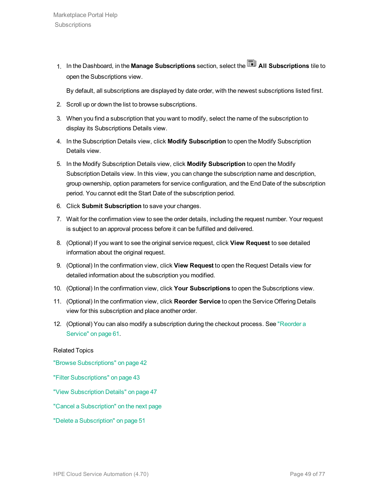1. In the Dashboard, in the **Manage Subscriptions** section, select the **All Subscriptions** tile to open the Subscriptions view.

By default, all subscriptions are displayed by date order, with the newest subscriptions listed first.

- 2. Scroll up or down the list to browse subscriptions.
- 3. When you find a subscription that you want to modify, select the name of the subscription to display its Subscriptions Details view.
- 4. In the Subscription Details view, click **Modify Subscription** to open the Modify Subscription Details view.
- 5. In the Modify Subscription Details view, click **Modify Subscription** to open the Modify Subscription Details view. In this view, you can change the subscription name and description, group ownership, option parameters for service configuration, and the End Date of the subscription period. You cannot edit the Start Date of the subscription period.
- 6. Click **Submit Subscription** to save your changes.
- 7. Wait for the confirmation view to see the order details, including the request number. Your request is subject to an approval process before it can be fulfilled and delivered.
- 8. (Optional) If you want to see the original service request, click **View Request** to see detailed information about the original request.
- 9. (Optional) In the confirmation view, click **View Request** to open the Request Details view for detailed information about the subscription you modified.
- 10. (Optional) In the confirmation view, click **Your Subscriptions** to open the Subscriptions view.
- 11. (Optional) In the confirmation view, click **Reorder Service** to open the Service Offering Details view for this subscription and place another order.
- 12. (Optional) You can also modify a subscription during the checkout process. See ["Reorder](#page-60-0) a [Service"](#page-60-0) on page 61.

#### Related Topics

"Browse [Subscriptions"](#page-41-0) on page 42

- "Filter [Subscriptions"](#page-42-0) on page 43
- "View [Subscription](#page-46-0) Details" on page 47
- "Cancel a [Subscription"](#page-49-0) on the next page
- "Delete a [Subscription"](#page-50-0) on page 51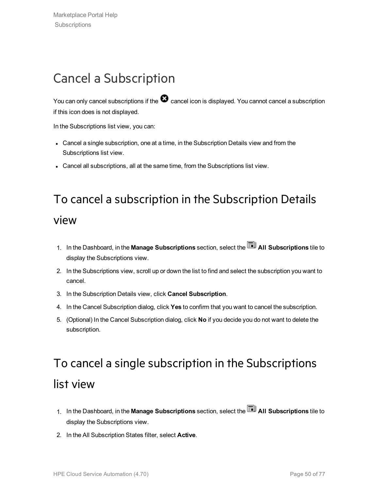# <span id="page-49-0"></span>Cancel a Subscription

You can only cancel subscriptions if the  $\bullet$  cancel icon is displayed. You cannot cancel a subscription if this icon does is not displayed.

In the Subscriptions list view, you can:

- Cancel a single subscription, one at a time, in the Subscription Details view and from the Subscriptions list view.
- Cancel all subscriptions, all at the same time, from the Subscriptions list view.

# To cancel a subscription in the Subscription Details

#### view

- 1. In the Dashboard, in the **Manage Subscriptions** section, select the **All Subscriptions** tile to display the Subscriptions view.
- 2. In the Subscriptions view, scroll up or down the list to find and select the subscription you want to cancel.
- 3. In the Subscription Details view, click **Cancel Subscription**.
- 4. In the Cancel Subscription dialog, click **Yes** to confirm that you want to cancel the subscription.
- 5. (Optional) In the Cancel Subscription dialog, click **No** if you decide you do not want to delete the subscription.

# To cancel a single subscription in the Subscriptions list view

- 1. In the Dashboard, in the **Manage Subscriptions** section, select the **All Subscriptions** tile to display the Subscriptions view.
- 2. In the All Subscription States filter, select **Active**.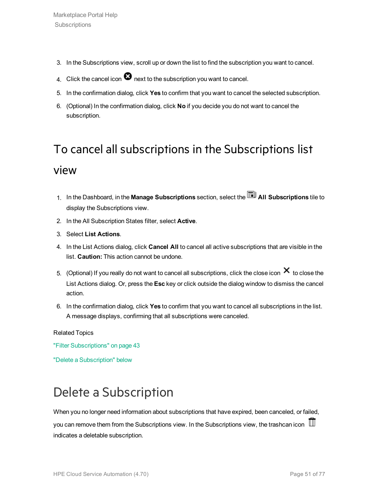- 3. In the Subscriptions view, scroll up or down the list to find the subscription you want to cancel.
- 4. Click the cancel icon  $\bullet$  next to the subscription you want to cancel.
- 5. In the confirmation dialog, click **Yes** to confirm that you want to cancel the selected subscription.
- 6. (Optional) In the confirmation dialog, click **No** if you decide you do not want to cancel the subscription.

# To cancel all subscriptions in the Subscriptions list view

- 1. In the Dashboard, in the **Manage Subscriptions** section, select the **All Subscriptions** tile to display the Subscriptions view.
- 2. In the All Subscription States filter, select **Active**.
- 3. Select **List Actions**.
- 4. In the List Actions dialog, click **Cancel All** to cancel all active subscriptions that are visible in the list. **Caution:** This action cannot be undone.
- 5. (Optional) If you really do not want to cancel all subscriptions, click the close icon  $\bm{\times}$  to close the List Actions dialog. Or, press the **Esc** key or click outside the dialog window to dismiss the cancel action.
- 6. In the confirmation dialog, click **Yes** to confirm that you want to cancel all subscriptions in the list. A message displays, confirming that all subscriptions were canceled.

#### Related Topics

"Filter [Subscriptions"](#page-42-0) on page 43

"Delete a [Subscription"](#page-50-0) below

# <span id="page-50-0"></span>Delete a Subscription

When you no longer need information about subscriptions that have expired, been canceled, or failed,

you can remove them from the Subscriptions view. In the Subscriptions view, the trashcan icon  $\mathbb I$ indicates a deletable subscription.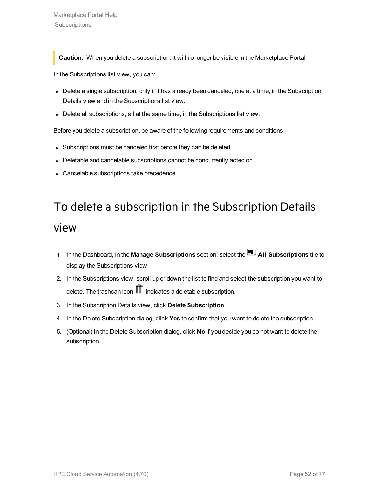**Caution:** When you delete a subscription, it will no longer be visible in the Marketplace Portal.

In the Subscriptions list view, you can:

- Delete a single subscription, only if it has already been canceled, one at a time, in the Subscription Details view and in the Subscriptions list view.
- Delete all subscriptions, all at the same time, in the Subscriptions list view.

Before you delete a subscription, be aware of the following requirements and conditions:

- Subscriptions must be canceled first before they can be deleted.
- Deletable and cancelable subscriptions cannot be concurrently acted on.
- Cancelable subscriptions take precedence.

# To delete a subscription in the Subscription Details view

- 1. In the Dashboard, in the **Manage Subscriptions** section, select the **All Subscriptions** tile to display the Subscriptions view.
- 2. In the Subscriptions view, scroll up or down the list to find and select the subscription you want to delete. The trashcan icon  $\overline{\mathbb{II}}$  indicates a deletable subscription.
- 3. In the Subscription Details view, click **Delete Subscription**.
- 4. In the Delete Subscription dialog, click **Yes** to confirm that you want to delete the subscription.
- 5. (Optional) In the Delete Subscription dialog, click **No** if you decide you do not want to delete the subscription.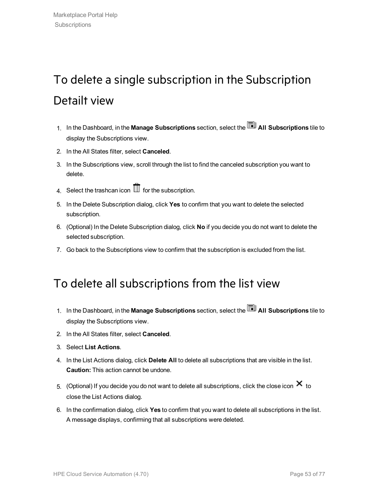# To delete a single subscription in the Subscription Detailt view

- 1. In the Dashboard, in the **Manage Subscriptions** section, select the **All Subscriptions** tile to display the Subscriptions view.
- 2. In the All States filter, select **Canceled**.
- 3. In the Subscriptions view, scroll through the list to find the canceled subscription you want to delete.
- 4. Select the trashcan icon  $\mathbb I$  for the subscription.
- 5. In the Delete Subscription dialog, click **Yes** to confirm that you want to delete the selected subscription.
- 6. (Optional) In the Delete Subscription dialog, click **No** if you decide you do not want to delete the selected subscription.
- 7. Go back to the Subscriptions view to confirm that the subscription is excluded from the list.

### To delete all subscriptions from the list view

- 1. In the Dashboard, in the **Manage Subscriptions** section, select the **All Subscriptions** tile to display the Subscriptions view.
- 2. In the All States filter, select **Canceled**.
- 3. Select **List Actions**.
- 4. In the List Actions dialog, click **Delete All** to delete all subscriptions that are visible in the list. **Caution:** This action cannot be undone.
- 5. (Optional) If you decide you do not want to delete all subscriptions, click the close icon  $\bm{\times}$  to close the List Actions dialog.
- 6. In the confirmation dialog, click **Yes** to confirm that you want to delete all subscriptions in the list. A message displays, confirming that all subscriptions were deleted.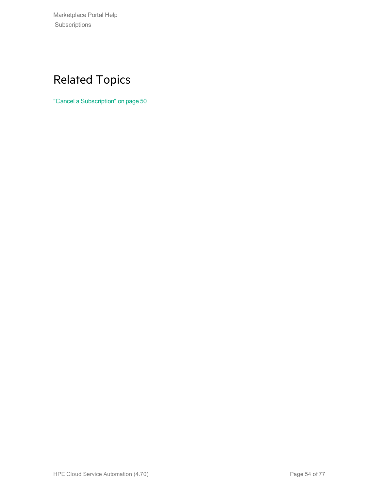Marketplace Portal Help Subscriptions

# Related Topics

"Cancel a [Subscription"](#page-49-0) on page 50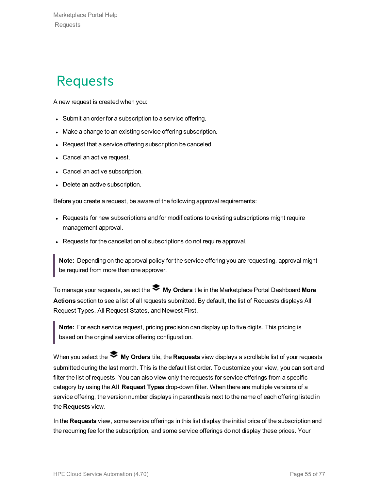# **Requests**

A new request is created when you:

- Submit an order for a subscription to a service offering.
- Make a change to an existing service offering subscription.
- Request that a service offering subscription be canceled.
- Cancel an active request.
- Cancel an active subscription.
- Delete an active subscription.

Before you create a request, be aware of the following approval requirements:

- Requests for new subscriptions and for modifications to existing subscriptions might require management approval.
- Requests for the cancellation of subscriptions do not require approval.

**Note:** Depending on the approval policy for the service offering you are requesting, approval might be required from more than one approver.

To manage your requests, select the **My Orders** tile in the Marketplace Portal Dashboard **More Actions** section to see a list of all requests submitted. By default, the list of Requests displays All Request Types, All Request States, and Newest First.

**Note:** For each service request, pricing precision can display up to five digits. This pricing is based on the original service offering configuration.

When you select the **My Orders** tile, the **Requests** view displays a scrollable list of your requests submitted during the last month. This is the default list order. To customize your view, you can sort and filter the list of requests. You can also view only the requests for service offerings from a specific category by using the **All Request Types** drop-down filter. When there are multiple versions of a service offering, the version number displays in parenthesis next to the name of each offering listed in the **Requests** view.

In the **Requests** view, some service offerings in this list display the initial price of the subscription and the recurring fee for the subscription, and some service offerings do not display these prices. Your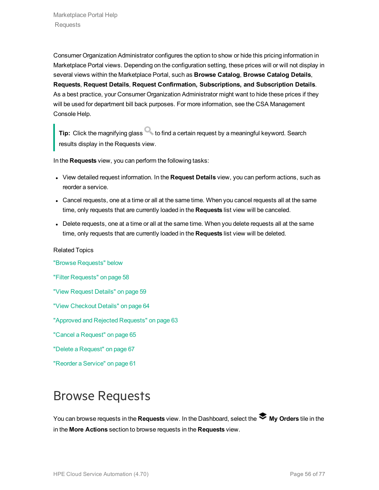Consumer Organization Administrator configures the option to show or hide this pricing information in Marketplace Portal views. Depending on the configuration setting, these prices will or will not display in several views within the Marketplace Portal, such as **Browse Catalog**, **Browse Catalog Details**, **Requests**, **Request Details**, **Request Confirmation, Subscriptions, and Subscription Details**. As a best practice, your Consumer Organization Administrator might want to hide these prices if they will be used for department bill back purposes. For more information, see the CSA Management Console Help.

**Tip:** Click the magnifying glass **that is contained a certain request by a meaningful keyword. Search** results display in the Requests view.

In the **Requests** view, you can perform the following tasks:

- <sup>l</sup> View detailed request information. In the **Request Details** view, you can perform actions, such as reorder a service.
- Cancel requests, one at a time or all at the same time. When you cancel requests all at the same time, only requests that are currently loaded in the **Requests** list view will be canceled.
- Delete requests, one at a time or all at the same time. When you delete requests all at the same time, only requests that are currently loaded in the **Requests** list view will be deleted.

#### Related Topics

"Browse [Requests"](#page-55-0) below "Filter [Requests"](#page-57-0) on page 58 "View [Request](#page-58-0) Details" on page 59 "View [Checkout](#page-63-0) Details" on page 64 "Approved and Rejected [Requests"](#page-62-0) on page 63 "Cancel a [Request"](#page-64-0) on page 65 "Delete a [Request"](#page-66-0) on page 67 ["Reorder](#page-60-0) a Service" on page 61

# <span id="page-55-0"></span>Browse Requests

You can browse requests in the Requests view. In the Dashboard, select the **My Orders** tile in the in the **More Actions** section to browse requests in the **Requests** view.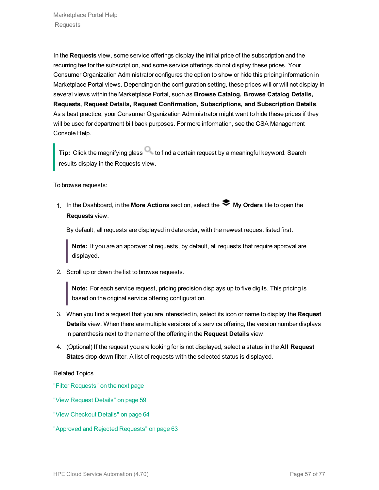In the **Requests** view, some service offerings display the initial price of the subscription and the recurring fee for the subscription, and some service offerings do not display these prices. Your Consumer Organization Administrator configures the option to show or hide this pricing information in Marketplace Portal views. Depending on the configuration setting, these prices will or will not display in several views within the Marketplace Portal, such as **Browse Catalog, Browse Catalog Details, Requests, Request Details, Request Confirmation, Subscriptions, and Subscription Details**. As a best practice, your Consumer Organization Administrator might want to hide these prices if they will be used for department bill back purposes. For more information, see the CSA Management Console Help.

**Tip:** Click the magnifying glass **that is contained a certain request by a meaningful keyword. Search** results display in the Requests view.

To browse requests:

1. In the Dashboard, in the **More Actions** section, select the **My Orders** tile to open the **Requests** view.

By default, all requests are displayed in date order, with the newest request listed first.

**Note:** If you are an approver of requests, by default, all requests that require approval are displayed.

2. Scroll up or down the list to browse requests.

**Note:** For each service request, pricing precision displays up to five digits. This pricing is based on the original service offering configuration.

- 3. When you find a request that you are interested in, select its icon or name to display the **Request Details** view. When there are multiple versions of a service offering, the version number displays in parenthesis next to the name of the offering in the **Request Details** view.
- 4. (Optional) If the request you are looking for is not displayed, select a status in the **All Request States** drop-down filter. A list of requests with the selected status is displayed.

#### Related Topics

"Filter [Requests"](#page-57-0) on the next page

"View [Request](#page-58-0) Details" on page 59

- "View [Checkout](#page-63-0) Details" on page 64
- "Approved and Rejected [Requests"](#page-62-0) on page 63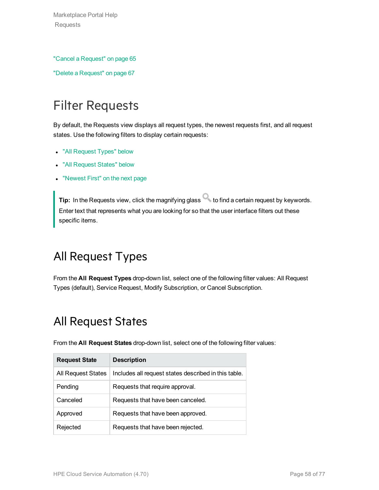Marketplace Portal Help Requests

"Cancel a [Request"](#page-64-0) on page 65

"Delete a [Request"](#page-66-0) on page 67

# <span id="page-57-0"></span>Filter Requests

By default, the Requests view displays all request types, the newest requests first, and all request states. Use the following filters to display certain requests:

- "All [Request](#page-57-1) Types" below
- "All [Request](#page-57-2) States" below
- ["Newest](#page-58-1) First" on the next page

**Tip:** In the Requests view, click the magnifying glass **the find a certain request by keywords.** Enter text that represents what you are looking for so that the user interface filters out these specific items.

### <span id="page-57-1"></span>All Request Types

<span id="page-57-2"></span>From the **All Request Types** drop-down list, select one of the following filter values: All Request Types (default), Service Request, Modify Subscription, or Cancel Subscription.

### All Request States

| <b>Request State</b>      | <b>Description</b>                                   |
|---------------------------|------------------------------------------------------|
| <b>All Request States</b> | Includes all request states described in this table. |
| Pending                   | Requests that require approval.                      |
| Canceled                  | Requests that have been canceled.                    |
| Approved                  | Requests that have been approved.                    |
| Rejected                  | Requests that have been rejected.                    |

From the **All Request States** drop-down list, select one of the following filter values: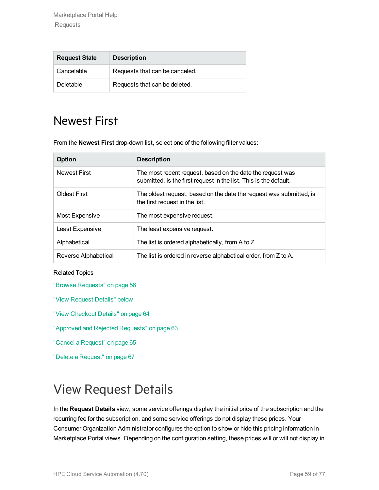| <b>Request State</b> | <b>Description</b>             |
|----------------------|--------------------------------|
| Cancelable           | Requests that can be canceled. |
| Deletable            | Requests that can be deleted.  |

### <span id="page-58-1"></span>Newest First

From the **Newest First** drop-down list, select one of the following filter values:

| Option               | <b>Description</b>                                                                                                              |
|----------------------|---------------------------------------------------------------------------------------------------------------------------------|
| <b>Newest First</b>  | The most recent request, based on the date the request was<br>submitted, is the first request in the list. This is the default. |
| <b>Oldest First</b>  | The oldest request, based on the date the request was submitted, is<br>the first request in the list.                           |
| Most Expensive       | The most expensive request.                                                                                                     |
| Least Expensive      | The least expensive request.                                                                                                    |
| Alphabetical         | The list is ordered alphabetically, from A to Z.                                                                                |
| Reverse Alphabetical | The list is ordered in reverse alphabetical order, from Z to A.                                                                 |

#### Related Topics

"Browse [Requests"](#page-55-0) on page 56

"View [Request](#page-58-0) Details" below

"View [Checkout](#page-63-0) Details" on page 64

"Approved and Rejected [Requests"](#page-62-0) on page 63

"Cancel a [Request"](#page-64-0) on page 65

"Delete a [Request"](#page-66-0) on page 67

# <span id="page-58-0"></span>View Request Details

In the **Request Details** view, some service offerings display the initial price of the subscription and the recurring fee for the subscription, and some service offerings do not display these prices. Your Consumer Organization Administrator configures the option to show or hide this pricing information in Marketplace Portal views. Depending on the configuration setting, these prices will or will not display in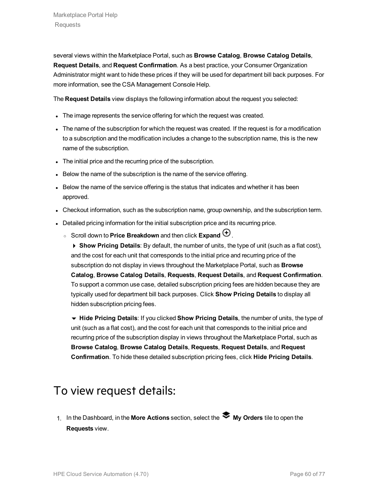several views within the Marketplace Portal, such as **Browse Catalog**, **Browse Catalog Details**, **Request Details**, and **Request Confirmation**. As a best practice, your Consumer Organization Administrator might want to hide these prices if they will be used for department bill back purposes. For more information, see the CSA Management Console Help.

The **Request Details** view displays the following information about the request you selected:

- The image represents the service offering for which the request was created.
- The name of the subscription for which the request was created. If the request is for a modification to a subscription and the modification includes a change to the subscription name, this is the new name of the subscription.
- The initial price and the recurring price of the subscription.
- Below the name of the subscription is the name of the service offering.
- Below the name of the service offering is the status that indicates and whether it has been approved.
- Checkout information, such as the subscription name, group ownership, and the subscription term.
- Detailed pricing information for the initial subscription price and its recurring price.
	- Scroll down to **Price Breakdown** and then click **Expand**  $\bigoplus$ .

4 **Show Pricing Details**: By default, the number of units, the type of unit (such as a flat cost), and the cost for each unit that corresponds to the initial price and recurring price of the subscription do not display in views throughout the Marketplace Portal, such as **Browse Catalog**, **Browse Catalog Details**, **Requests**, **Request Details**, and **Request Confirmation**. To support a common use case, detailed subscription pricing fees are hidden because they are typically used for department bill back purposes. Click **Show Pricing Details** to display all hidden subscription pricing fees.

6 **Hide Pricing Details**: If you clicked **Show Pricing Details**, the number of units, the type of unit (such as a flat cost), and the cost for each unit that corresponds to the initial price and recurring price of the subscription display in views throughout the Marketplace Portal, such as **Browse Catalog**, **Browse Catalog Details**, **Requests**, **Request Details**, and **Request Confirmation**. To hide these detailed subscription pricing fees, click **Hide Pricing Details**.

### To view request details:

1. In the Dashboard, in the **More Actions** section, select the **My Orders** tile to open the **Requests** view.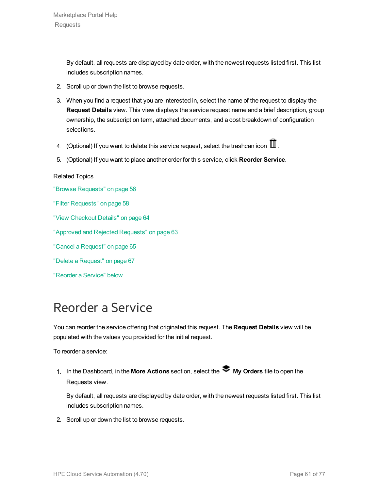By default, all requests are displayed by date order, with the newest requests listed first. This list includes subscription names.

- 2. Scroll up or down the list to browse requests.
- 3. When you find a request that you are interested in, select the name of the request to display the **Request Details** view. This view displays the service request name and a brief description, group ownership, the subscription term, attached documents, and a cost breakdown of configuration selections.
- 4. (Optional) If you want to delete this service request, select the trashcan icon  $\mathbb I$ .
- 5. (Optional) If you want to place another order for this service, click **Reorder Service**.

#### Related Topics

"Browse [Requests"](#page-55-0) on page 56 "Filter [Requests"](#page-57-0) on page 58 "View [Checkout](#page-63-0) Details" on page 64 "Approved and Rejected [Requests"](#page-62-0) on page 63 "Cancel a [Request"](#page-64-0) on page 65 "Delete a [Request"](#page-66-0) on page 67 ["Reorder](#page-60-0) a Service" below

# <span id="page-60-0"></span>Reorder a Service

You can reorder the service offering that originated this request. The **Request Details** view will be populated with the values you provided for the initial request.

To reorder a service:

1. In the Dashboard, in the More Actions section, select the **My Orders** tile to open the Requests view.

By default, all requests are displayed by date order, with the newest requests listed first. This list includes subscription names.

2. Scroll up or down the list to browse requests.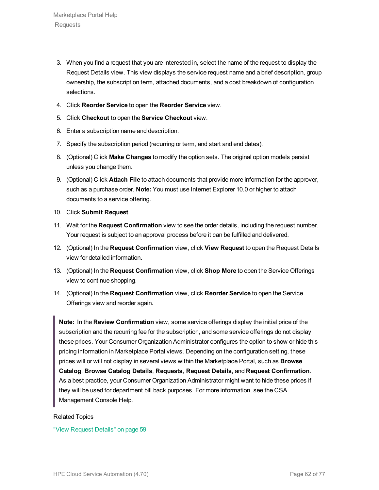- 3. When you find a request that you are interested in, select the name of the request to display the Request Details view. This view displays the service request name and a brief description, group ownership, the subscription term, attached documents, and a cost breakdown of configuration selections.
- 4. Click **Reorder Service** to open the **Reorder Service** view.
- 5. Click **Checkout** to open the **Service Checkout** view.
- 6. Enter a subscription name and description.
- 7. Specify the subscription period (recurring or term, and start and end dates).
- 8. (Optional) Click **Make Changes** to modify the option sets. The original option models persist unless you change them.
- 9. (Optional) Click **Attach File** to attach documents that provide more information for the approver, such as a purchase order. **Note:** You must use Internet Explorer 10.0 or higher to attach documents to a service offering.
- 10. Click **Submit Request**.
- 11. Wait for the **Request Confirmation** view to see the order details, including the request number. Your request is subject to an approval process before it can be fulfilled and delivered.
- 12. (Optional) In the **Request Confirmation** view, click **View Request** to open the Request Details view for detailed information.
- 13. (Optional) In the **Request Confirmation** view, click **Shop More** to open the Service Offerings view to continue shopping.
- 14. (Optional) In the **Request Confirmation** view, click **Reorder Service** to open the Service Offerings view and reorder again.

**Note:** In the **Review Confirmation** view, some service offerings display the initial price of the subscription and the recurring fee for the subscription, and some service offerings do not display these prices. Your Consumer Organization Administrator configures the option to show or hide this pricing information in Marketplace Portal views. Depending on the configuration setting, these prices will or will not display in several views within the Marketplace Portal, such as **Browse Catalog**, **Browse Catalog Details**, **Requests, Request Details**, and **Request Confirmation**. As a best practice, your Consumer Organization Administrator might want to hide these prices if they will be used for department bill back purposes. For more information, see the CSA Management Console Help.

#### Related Topics

"View [Request](#page-58-0) Details" on page 59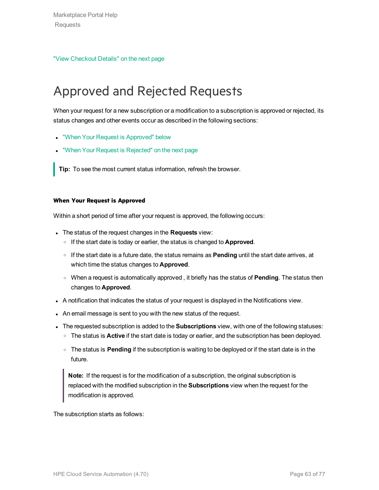"View [Checkout](#page-63-0) Details" on the next page

# <span id="page-62-0"></span>Approved and Rejected Requests

When your request for a new subscription or a modification to a subscription is approved or rejected, its status changes and other events occur as described in the following sections:

- **.** "When Your Request is [Approved"](#page-62-1) below
- "When Your Request is [Rejected"](#page-63-1) on the next page

**Tip:** To see the most current status information, refresh the browser.

#### <span id="page-62-1"></span>**When Your Request is Approved**

Within a short period of time after your request is approved, the following occurs:

- <sup>l</sup> The status of the request changes in the **Requests** view:
	- <sup>o</sup> If the start date is today or earlier, the status is changed to **Approved**.
	- <sup>o</sup> If the start date is a future date, the status remains as **Pending** until the start date arrives, at which time the status changes to **Approved**.
	- <sup>o</sup> When a request is automatically approved , it briefly has the status of **Pending**. The status then changes to **Approved**.
- A notification that indicates the status of your request is displayed in the Notifications view.
- An email message is sent to you with the new status of the request.
- **The requested subscription is added to the Subscriptions** view, with one of the following statuses:
	- <sup>o</sup> The status is **Active** if the start date is today or earlier, and the subscription has been deployed.
	- <sup>o</sup> The status is **Pending** if the subscription is waiting to be deployed or if the start date is in the future.

**Note:** If the request is for the modification of a subscription, the original subscription is replaced with the modified subscription in the **Subscriptions** view when the request for the modification is approved.

The subscription starts as follows: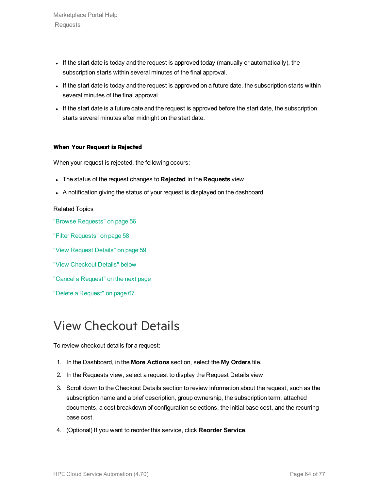Marketplace Portal Help Requests

- If the start date is today and the request is approved today (manually or automatically), the subscription starts within several minutes of the final approval.
- If the start date is today and the request is approved on a future date, the subscription starts within several minutes of the final approval.
- If the start date is a future date and the request is approved before the start date, the subscription starts several minutes after midnight on the start date.

#### <span id="page-63-1"></span>**When Your Request is Rejected**

When your request is rejected, the following occurs:

- <sup>l</sup> The status of the request changes to **Rejected** in the **Requests** view.
- A notification giving the status of your request is displayed on the dashboard.

#### Related Topics

"Browse [Requests"](#page-55-0) on page 56 "Filter [Requests"](#page-57-0) on page 58 "View [Request](#page-58-0) Details" on page 59

- "View [Checkout](#page-63-0) Details" below
- "Cancel a [Request"](#page-64-0) on the next page

"Delete a [Request"](#page-66-0) on page 67

# <span id="page-63-0"></span>View Checkout Details

To review checkout details for a request:

- 1. In the Dashboard, in the **More Actions** section, select the **My Orders** tile.
- 2. In the Requests view, select a request to display the Request Details view.
- 3. Scroll down to the Checkout Details section to review information about the request, such as the subscription name and a brief description, group ownership, the subscription term, attached documents, a cost breakdown of configuration selections, the initial base cost, and the recurring base cost.
- 4. (Optional) If you want to reorder this service, click **Reorder Service**.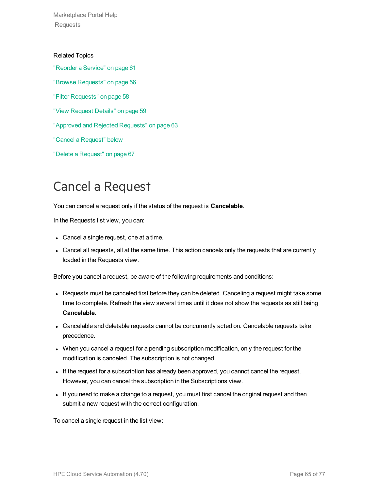Marketplace Portal Help Requests

Related Topics ["Reorder](#page-60-0) a Service" on page 61 "Browse [Requests"](#page-55-0) on page 56 "Filter [Requests"](#page-57-0) on page 58 "View [Request](#page-58-0) Details" on page 59 "Approved and Rejected [Requests"](#page-62-0) on page 63 "Cancel a [Request"](#page-64-0) below "Delete a [Request"](#page-66-0) on page 67

# <span id="page-64-0"></span>Cancel a Request

You can cancel a request only if the status of the request is **Cancelable**.

In the Requests list view, you can:

- Cancel a single request, one at a time.
- Cancel all requests, all at the same time. This action cancels only the requests that are currently loaded in the Requests view.

Before you cancel a request, be aware of the following requirements and conditions:

- Requests must be canceled first before they can be deleted. Canceling a request might take some time to complete. Refresh the view several times until it does not show the requests as still being **Cancelable**.
- Cancelable and deletable requests cannot be concurrently acted on. Cancelable requests take precedence.
- When you cancel a request for a pending subscription modification, only the request for the modification is canceled. The subscription is not changed.
- If the request for a subscription has already been approved, you cannot cancel the request. However, you can cancel the subscription in the Subscriptions view.
- If you need to make a change to a request, you must first cancel the original request and then submit a new request with the correct configuration.

To cancel a single request in the list view: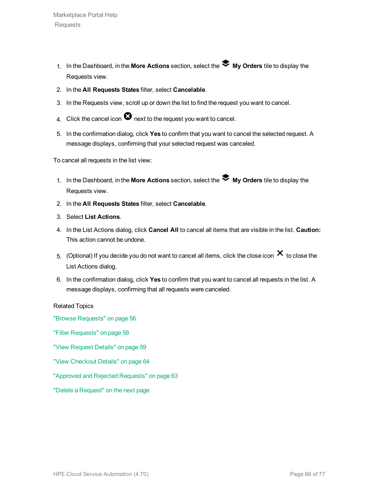- 1. In the Dashboard, in the **More Actions** section, select the **My Orders** tile to display the Requests view.
- 2. In the **All Requests States** filter, select **Cancelable**.
- 3. In the Requests view, scroll up or down the list to find the request you want to cancel.
- 4. Click the cancel icon  $\bullet$  next to the request you want to cancel.
- 5. In the confirmation dialog, click **Yes** to confirm that you want to cancel the selected request. A message displays, confirming that your selected request was canceled.

To cancel all requests in the list view:

- 1. In the Dashboard, in the **More Actions** section, select the **My Orders** tile to display the Requests view.
- 2. In the **All Requests States** filter, select **Cancelable**.
- 3. Select **List Actions**.
- 4. In the List Actions dialog, click **Cancel All** to cancel all items that are visible in the list. **Caution:** This action cannot be undone.
- 5. (Optional) If you decide you do not want to cancel all items, click the close icon  $\bm{\times}$  to close the List Actions dialog.
- 6. In the confirmation dialog, click **Yes** to confirm that you want to cancel all requests in the list. A message displays, confirming that all requests were canceled.

Related Topics

"Browse [Requests"](#page-55-0) on page 56

"Filter [Requests"](#page-57-0) on page 58

"View [Request](#page-58-0) Details" on page 59

"View [Checkout](#page-63-0) Details" on page 64

"Approved and Rejected [Requests"](#page-62-0) on page 63

"Delete a [Request"](#page-66-0) on the next page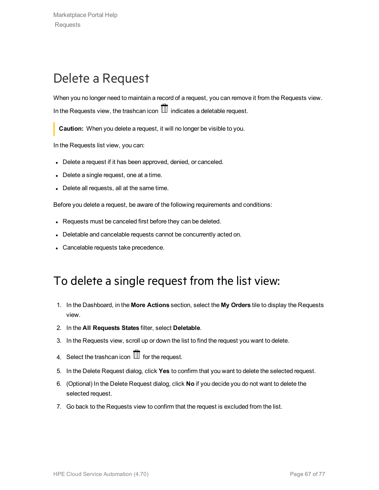# <span id="page-66-0"></span>Delete a Request

When you no longer need to maintain a record of a request, you can remove it from the Requests view. In the Requests view, the trashcan icon  $\mathbb I$  indicates a deletable request.

**Caution:** When you delete a request, it will no longer be visible to you.

In the Requests list view, you can:

- Delete a request if it has been approved, denied, or canceled.
- Delete a single request, one at a time.
- Delete all requests, all at the same time.

Before you delete a request, be aware of the following requirements and conditions:

- Requests must be canceled first before they can be deleted.
- Deletable and cancelable requests cannot be concurrently acted on.
- Cancelable requests take precedence.

#### To delete a single request from the list view:

- 1. In the Dashboard, in the **More Actions** section, select the **My Orders** tile to display the Requests view.
- 2. In the **All Requests States** filter, select **Deletable**.
- 3. In the Requests view, scroll up or down the list to find the request you want to delete.
- 4. Select the trashcan icon  $\overline{\mathbb{II}}$  for the request.
- 5. In the Delete Request dialog, click **Yes** to confirm that you want to delete the selected request.
- 6. (Optional) In the Delete Request dialog, click **No** if you decide you do not want to delete the selected request.
- 7. Go back to the Requests view to confirm that the request is excluded from the list.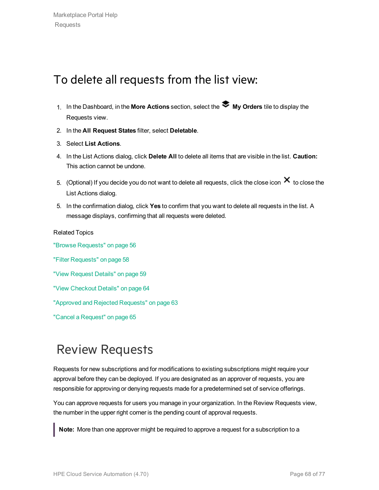### To delete all requests from the list view:

- 1. In the Dashboard, in the **More Actions** section, select the **My Orders** tile to display the Requests view.
- 2. In the **All Request States** filter, select **Deletable**.
- 3. Select **List Actions**.
- 4. In the List Actions dialog, click **Delete All** to delete all items that are visible in the list. **Caution:** This action cannot be undone.
- 5. (Optional) If you decide you do not want to delete all requests, click the close icon  $\bm{\times}$  to close the List Actions dialog.
- 5. In the confirmation dialog, click **Yes** to confirm that you want to delete all requests in the list. A message displays, confirming that all requests were deleted.

Related Topics "Browse [Requests"](#page-55-0) on page 56 "Filter [Requests"](#page-57-0) on page 58 "View [Request](#page-58-0) Details" on page 59 "View [Checkout](#page-63-0) Details" on page 64 "Approved and Rejected [Requests"](#page-62-0) on page 63 "Cancel a [Request"](#page-64-0) on page 65

# Review Requests

Requests for new subscriptions and for modifications to existing subscriptions might require your approval before they can be deployed. If you are designated as an approver of requests, you are responsible for approving or denying requests made for a predetermined set of service offerings.

You can approve requests for users you manage in your organization. In the Review Requests view, the number in the upper right corner is the pending count of approval requests.

**Note:** More than one approver might be required to approve a request for a subscription to a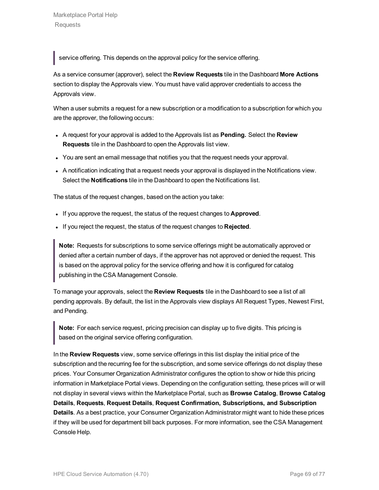service offering. This depends on the approval policy for the service offering.

As a service consumer (approver), select the **Review Requests** tile in the Dashboard **More Actions** section to display the Approvals view. You must have valid approver credentials to access the Approvals view.

When a user submits a request for a new subscription or a modification to a subscription for which you are the approver, the following occurs:

- <sup>l</sup> A request for your approval is added to the Approvals list as **Pending.** Select the **Review Requests** tile in the Dashboard to open the Approvals list view.
- You are sent an email message that notifies you that the request needs your approval.
- A notification indicating that a request needs your approval is displayed in the Notifications view. Select the **Notifications** tile in the Dashboard to open the Notifications list.

The status of the request changes, based on the action you take:

- . If you approve the request, the status of the request changes to **Approved**.
- If you reject the request, the status of the request changes to **Rejected**.

**Note:** Requests for subscriptions to some service offerings might be automatically approved or denied after a certain number of days, if the approver has not approved or denied the request. This is based on the approval policy for the service offering and how it is configured for catalog publishing in the CSA Management Console.

To manage your approvals, select the **Review Requests** tile in the Dashboard to see a list of all pending approvals. By default, the list in the Approvals view displays All Request Types, Newest First, and Pending.

**Note:** For each service request, pricing precision can display up to five digits. This pricing is based on the original service offering configuration.

In the **Review Requests** view, some service offerings in this list display the initial price of the subscription and the recurring fee for the subscription, and some service offerings do not display these prices. Your Consumer Organization Administrator configures the option to show or hide this pricing information in Marketplace Portal views. Depending on the configuration setting, these prices will or will not display in several views within the Marketplace Portal, such as **Browse Catalog**, **Browse Catalog Details**, **Requests**, **Request Details**, **Request Confirmation, Subscriptions, and Subscription Details**. As a best practice, your Consumer Organization Administrator might want to hide these prices if they will be used for department bill back purposes. For more information, see the CSA Management Console Help.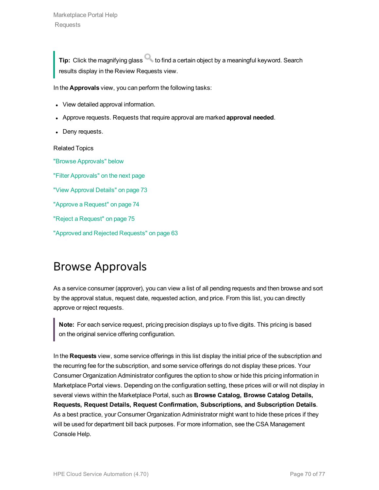**Tip:** Click the magnifying glass to find a certain object by a meaningful keyword. Search results display in the Review Requests view.

In the **Approvals** view, you can perform the following tasks:

- View detailed approval information.
- <sup>l</sup> Approve requests. Requests that require approval are marked **approval needed**.
- Deny requests.

Related Topics

"Browse [Approvals"](#page-69-0) below "Filter [Approvals"](#page-70-0) on the next page "View [Approval](#page-72-0) Details" on page 73 "Approve a [Request"](#page-73-0) on page 74 "Reject a [Request"](#page-74-0) on page 75 "Approved and Rejected [Requests"](#page-62-0) on page 63

# <span id="page-69-0"></span>Browse Approvals

As a service consumer (approver), you can view a list of all pending requests and then browse and sort by the approval status, request date, requested action, and price. From this list, you can directly approve or reject requests.

**Note:** For each service request, pricing precision displays up to five digits. This pricing is based on the original service offering configuration.

In the **Requests** view, some service offerings in this list display the initial price of the subscription and the recurring fee for the subscription, and some service offerings do not display these prices. Your Consumer Organization Administrator configures the option to show or hide this pricing information in Marketplace Portal views. Depending on the configuration setting, these prices will or will not display in several views within the Marketplace Portal, such as **Browse Catalog, Browse Catalog Details, Requests, Request Details, Request Confirmation, Subscriptions, and Subscription Details**. As a best practice, your Consumer Organization Administrator might want to hide these prices if they will be used for department bill back purposes. For more information, see the CSA Management Console Help.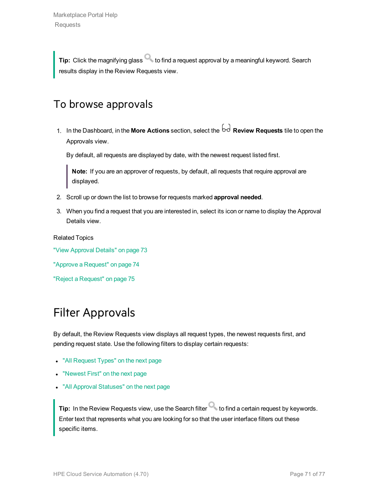**Tip:** Click the magnifying glass **that is constrained a request approval by a meaningful keyword. Search** results display in the Review Requests view.

#### To browse approvals

1. In the Dashboard, in the **More Actions** section, select the **Review Requests** tile to open the Approvals view.

By default, all requests are displayed by date, with the newest request listed first.

**Note:** If you are an approver of requests, by default, all requests that require approval are displayed.

- 2. Scroll up or down the list to browse for requests marked **approval needed**.
- 3. When you find a request that you are interested in, select its icon or name to display the Approval Details view.

Related Topics

"View [Approval](#page-72-0) Details" on page 73

"Approve a [Request"](#page-73-0) on page 74

<span id="page-70-0"></span>"Reject a [Request"](#page-74-0) on page 75

### Filter Approvals

By default, the Review Requests view displays all request types, the newest requests first, and pending request state. Use the following filters to display certain requests:

- "All [Request](#page-71-0) Types" on the next page
- ["Newest](#page-71-1) First" on the next page
- "All Approval [Statuses"](#page-71-2) on the next page

**Tip:** In the Review Requests view, use the Search filter **C** to find a certain request by keywords. Enter text that represents what you are looking for so that the user interface filters out these specific items.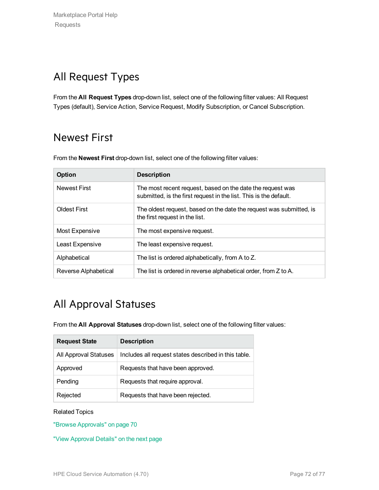### <span id="page-71-0"></span>All Request Types

<span id="page-71-1"></span>From the **All Request Types** drop-down list, select one of the following filter values: All Request Types (default), Service Action, Service Request, Modify Subscription, or Cancel Subscription.

### Newest First

From the **Newest First** drop-down list, select one of the following filter values:

| Option               | <b>Description</b>                                                                                                              |
|----------------------|---------------------------------------------------------------------------------------------------------------------------------|
| <b>Newest First</b>  | The most recent request, based on the date the request was<br>submitted, is the first request in the list. This is the default. |
| <b>Oldest First</b>  | The oldest request, based on the date the request was submitted, is<br>the first request in the list.                           |
| Most Expensive       | The most expensive request.                                                                                                     |
| Least Expensive      | The least expensive request.                                                                                                    |
| Alphabetical         | The list is ordered alphabetically, from A to Z.                                                                                |
| Reverse Alphabetical | The list is ordered in reverse alphabetical order, from Z to A.                                                                 |

### <span id="page-71-2"></span>All Approval Statuses

From the **All Approval Statuses** drop-down list, select one of the following filter values:

| <b>Request State</b>  | <b>Description</b>                                   |
|-----------------------|------------------------------------------------------|
| All Approval Statuses | Includes all request states described in this table. |
| Approved              | Requests that have been approved.                    |
| Pending               | Requests that require approval.                      |
| Rejected              | Requests that have been rejected.                    |

#### Related Topics

"Browse [Approvals"](#page-69-0) on page 70

"View [Approval](#page-72-0) Details" on the next page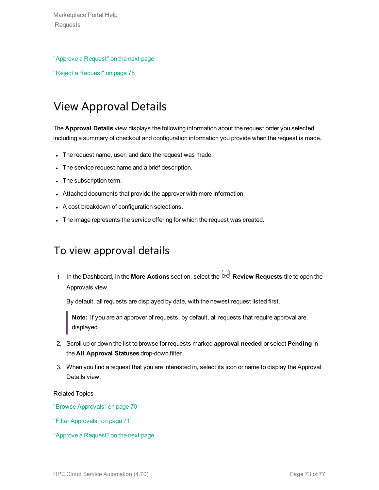#### "Approve a [Request"](#page-73-0) on the next page

<span id="page-72-0"></span>"Reject a [Request"](#page-74-0) on page 75

# View Approval Details

The **Approval Details** view displays the following information about the request order you selected, including a summary of checkout and configuration information you provide when the request is made.

- The request name, user, and date the request was made.
- The service request name and a brief description.
- The subscription term.
- Attached documents that provide the approver with more information.
- A cost breakdown of configuration selections.
- The image represents the service offering for which the request was created.

### To view approval details

1. In the Dashboard, in the **More Actions** section, select the **Review Requests** tile to open the Approvals view.

By default, all requests are displayed by date, with the newest request listed first.

**Note:** If you are an approver of requests, by default, all requests that require approval are displayed.

- 2. Scroll up or down the list to browse for requests marked **approval needed** or select **Pending** in the **All Approval Statuses** drop-down filter.
- 3. When you find a request that you are interested in, select its icon or name to display the Approval Details view.

Related Topics

"Browse [Approvals"](#page-69-0) on page 70

"Filter [Approvals"](#page-70-0) on page 71

"Approve a [Request"](#page-73-0) on the next page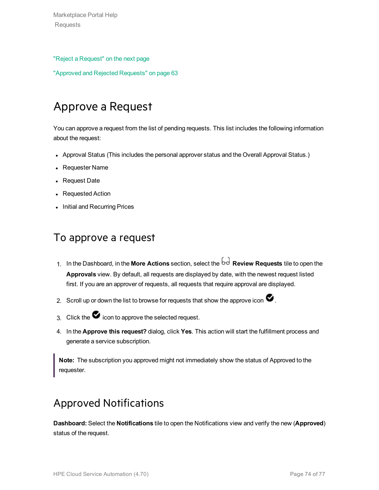Marketplace Portal Help Requests

#### "Reject a [Request"](#page-74-0) on the next page

<span id="page-73-0"></span>"Approved and Rejected [Requests"](#page-62-0) on page 63

# Approve a Request

You can approve a request from the list of pending requests. This list includes the following information about the request:

- Approval Status (This includes the personal approver status and the Overall Approval Status.)
- Requester Name
- Request Date
- Requested Action
- Initial and Recurring Prices

#### To approve a request

- 1. In the Dashboard, in the **More Actions** section, select the **Review Requests** tile to open the **Approvals** view. By default, all requests are displayed by date, with the newest request listed first. If you are an approver of requests, all requests that require approval are displayed.
- 2. Scroll up or down the list to browse for requests that show the approve icon  $\blacktriangledown$ .
- 3. Click the  $\bullet$  icon to approve the selected request.
- 4. In the **Approve this request?** dialog, click **Yes**. This action will start the fulfillment process and generate a service subscription.

**Note:** The subscription you approved might not immediately show the status of Approved to the requester.

## Approved Notifications

**Dashboard:** Select the **Notifications** tile to open the Notifications view and verify the new (**Approved**) status of the request.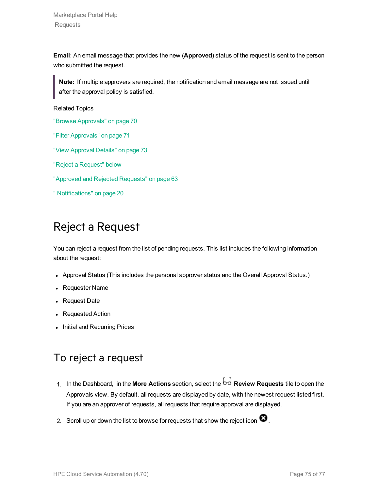Marketplace Portal Help Requests

**Email**: An email message that provides the new (**Approved**) status of the request is sent to the person who submitted the request.

**Note:** If multiple approvers are required, the notification and email message are not issued until after the approval policy is satisfied.

Related Topics

"Browse [Approvals"](#page-69-0) on page 70

"Filter [Approvals"](#page-70-0) on page 71

"View [Approval](#page-72-0) Details" on page 73

"Reject a [Request"](#page-74-0) below

"Approved and Rejected [Requests"](#page-62-0) on page 63

<span id="page-74-0"></span>" [Notifications"](#page-19-0) on page 20

## Reject a Request

You can reject a request from the list of pending requests. This list includes the following information about the request:

- Approval Status (This includes the personal approver status and the Overall Approval Status.)
- Requester Name
- Request Date
- Requested Action
- Initial and Recurring Prices

### To reject a request

- 1. In the Dashboard, in the More Actions section, select the  $\overline{bd}$  Review Requests tile to open the Approvals view. By default, all requests are displayed by date, with the newest request listed first. If you are an approver of requests, all requests that require approval are displayed.
- 2. Scroll up or down the list to browse for requests that show the reject icon  $\bullet$ .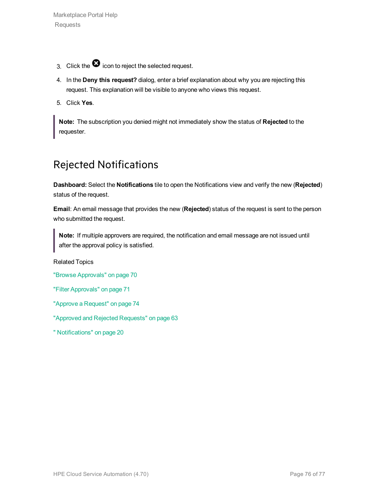- 3. Click the  $\bullet$  icon to reject the selected request.
- 4. In the **Deny this request?** dialog, enter a brief explanation about why you are rejecting this request. This explanation will be visible to anyone who views this request.
- 5. Click **Yes**.

**Note:** The subscription you denied might not immediately show the status of **Rejected** to the requester.

## Rejected Notifications

**Dashboard:** Select the **Notifications** tile to open the Notifications view and verify the new (**Rejected**) status of the request.

**Email**: An email message that provides the new (**Rejected**) status of the request is sent to the person who submitted the request.

**Note:** If multiple approvers are required, the notification and email message are not issued until after the approval policy is satisfied.

Related Topics

"Browse [Approvals"](#page-69-0) on page 70

"Filter [Approvals"](#page-70-0) on page 71

"Approve a [Request"](#page-73-0) on page 74

"Approved and Rejected [Requests"](#page-62-0) on page 63

" [Notifications"](#page-19-0) on page 20